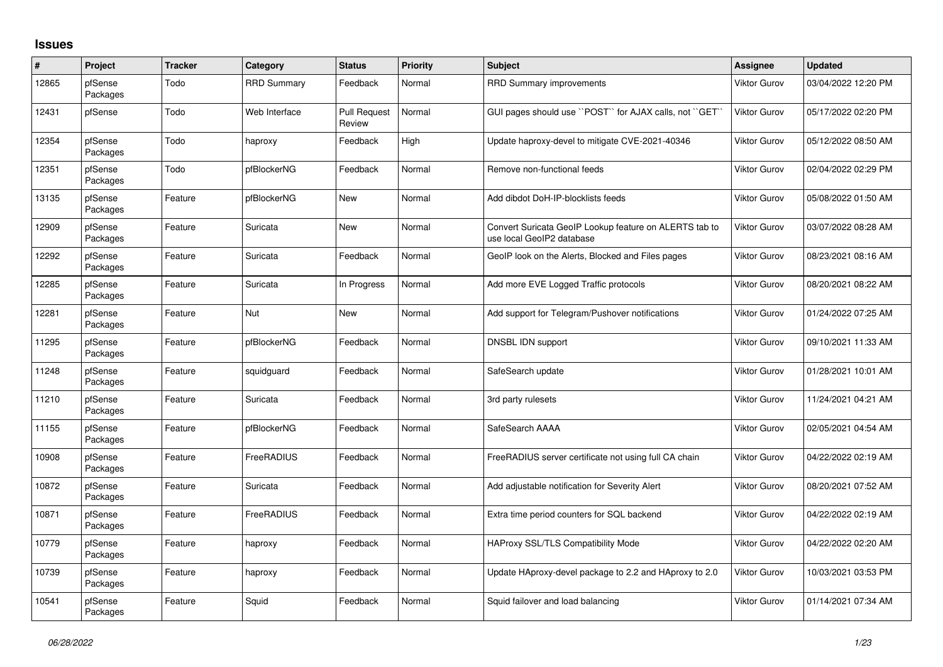## **Issues**

| $\vert$ # | Project             | <b>Tracker</b> | Category           | <b>Status</b>                 | <b>Priority</b> | <b>Subject</b>                                                                      | Assignee            | <b>Updated</b>      |
|-----------|---------------------|----------------|--------------------|-------------------------------|-----------------|-------------------------------------------------------------------------------------|---------------------|---------------------|
| 12865     | pfSense<br>Packages | Todo           | <b>RRD Summary</b> | Feedback                      | Normal          | <b>RRD Summary improvements</b>                                                     | Viktor Gurov        | 03/04/2022 12:20 PM |
| 12431     | pfSense             | Todo           | Web Interface      | <b>Pull Request</b><br>Review | Normal          | GUI pages should use "POST" for AJAX calls, not "GET"                               | <b>Viktor Gurov</b> | 05/17/2022 02:20 PM |
| 12354     | pfSense<br>Packages | Todo           | haproxy            | Feedback                      | High            | Update haproxy-devel to mitigate CVE-2021-40346                                     | Viktor Gurov        | 05/12/2022 08:50 AM |
| 12351     | pfSense<br>Packages | Todo           | pfBlockerNG        | Feedback                      | Normal          | Remove non-functional feeds                                                         | Viktor Gurov        | 02/04/2022 02:29 PM |
| 13135     | pfSense<br>Packages | Feature        | pfBlockerNG        | <b>New</b>                    | Normal          | Add dibdot DoH-IP-blocklists feeds                                                  | Viktor Gurov        | 05/08/2022 01:50 AM |
| 12909     | pfSense<br>Packages | Feature        | Suricata           | <b>New</b>                    | Normal          | Convert Suricata GeoIP Lookup feature on ALERTS tab to<br>use local GeoIP2 database | Viktor Gurov        | 03/07/2022 08:28 AM |
| 12292     | pfSense<br>Packages | Feature        | Suricata           | Feedback                      | Normal          | GeoIP look on the Alerts, Blocked and Files pages                                   | Viktor Gurov        | 08/23/2021 08:16 AM |
| 12285     | pfSense<br>Packages | Feature        | Suricata           | In Progress                   | Normal          | Add more EVE Logged Traffic protocols                                               | Viktor Gurov        | 08/20/2021 08:22 AM |
| 12281     | pfSense<br>Packages | Feature        | Nut                | <b>New</b>                    | Normal          | Add support for Telegram/Pushover notifications                                     | Viktor Gurov        | 01/24/2022 07:25 AM |
| 11295     | pfSense<br>Packages | Feature        | pfBlockerNG        | Feedback                      | Normal          | DNSBL IDN support                                                                   | Viktor Gurov        | 09/10/2021 11:33 AM |
| 11248     | pfSense<br>Packages | Feature        | squidguard         | Feedback                      | Normal          | SafeSearch update                                                                   | Viktor Gurov        | 01/28/2021 10:01 AM |
| 11210     | pfSense<br>Packages | Feature        | Suricata           | Feedback                      | Normal          | 3rd party rulesets                                                                  | Viktor Gurov        | 11/24/2021 04:21 AM |
| 11155     | pfSense<br>Packages | Feature        | pfBlockerNG        | Feedback                      | Normal          | SafeSearch AAAA                                                                     | Viktor Gurov        | 02/05/2021 04:54 AM |
| 10908     | pfSense<br>Packages | Feature        | FreeRADIUS         | Feedback                      | Normal          | FreeRADIUS server certificate not using full CA chain                               | Viktor Gurov        | 04/22/2022 02:19 AM |
| 10872     | pfSense<br>Packages | Feature        | Suricata           | Feedback                      | Normal          | Add adjustable notification for Severity Alert                                      | Viktor Gurov        | 08/20/2021 07:52 AM |
| 10871     | pfSense<br>Packages | Feature        | FreeRADIUS         | Feedback                      | Normal          | Extra time period counters for SQL backend                                          | Viktor Gurov        | 04/22/2022 02:19 AM |
| 10779     | pfSense<br>Packages | Feature        | haproxy            | Feedback                      | Normal          | HAProxy SSL/TLS Compatibility Mode                                                  | Viktor Gurov        | 04/22/2022 02:20 AM |
| 10739     | pfSense<br>Packages | Feature        | haproxy            | Feedback                      | Normal          | Update HAproxy-devel package to 2.2 and HAproxy to 2.0                              | Viktor Gurov        | 10/03/2021 03:53 PM |
| 10541     | pfSense<br>Packages | Feature        | Squid              | Feedback                      | Normal          | Squid failover and load balancing                                                   | Viktor Gurov        | 01/14/2021 07:34 AM |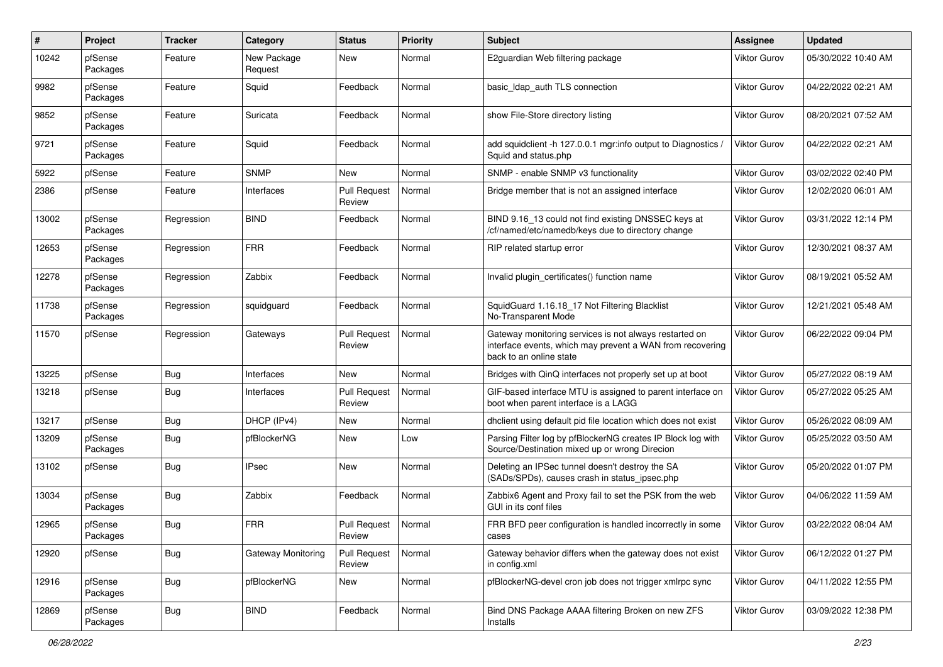| $\pmb{\#}$ | Project             | Tracker    | Category                  | <b>Status</b>                        | <b>Priority</b> | Subject                                                                                                                                        | <b>Assignee</b>     | <b>Updated</b>      |
|------------|---------------------|------------|---------------------------|--------------------------------------|-----------------|------------------------------------------------------------------------------------------------------------------------------------------------|---------------------|---------------------|
| 10242      | pfSense<br>Packages | Feature    | New Package<br>Request    | New                                  | Normal          | E2guardian Web filtering package                                                                                                               | Viktor Gurov        | 05/30/2022 10:40 AM |
| 9982       | pfSense<br>Packages | Feature    | Squid                     | Feedback                             | Normal          | basic Idap auth TLS connection                                                                                                                 | Viktor Gurov        | 04/22/2022 02:21 AM |
| 9852       | pfSense<br>Packages | Feature    | Suricata                  | Feedback                             | Normal          | show File-Store directory listing                                                                                                              | Viktor Gurov        | 08/20/2021 07:52 AM |
| 9721       | pfSense<br>Packages | Feature    | Squid                     | Feedback                             | Normal          | add squidclient -h 127.0.0.1 mgr:info output to Diagnostics /<br>Squid and status.php                                                          | Viktor Gurov        | 04/22/2022 02:21 AM |
| 5922       | pfSense             | Feature    | <b>SNMP</b>               | New                                  | Normal          | SNMP - enable SNMP v3 functionality                                                                                                            | <b>Viktor Gurov</b> | 03/02/2022 02:40 PM |
| 2386       | pfSense             | Feature    | Interfaces                | <b>Pull Request</b><br>Review        | Normal          | Bridge member that is not an assigned interface                                                                                                | Viktor Gurov        | 12/02/2020 06:01 AM |
| 13002      | pfSense<br>Packages | Regression | <b>BIND</b>               | Feedback                             | Normal          | BIND 9.16_13 could not find existing DNSSEC keys at<br>/cf/named/etc/namedb/keys due to directory change                                       | <b>Viktor Gurov</b> | 03/31/2022 12:14 PM |
| 12653      | pfSense<br>Packages | Regression | <b>FRR</b>                | Feedback                             | Normal          | RIP related startup error                                                                                                                      | Viktor Gurov        | 12/30/2021 08:37 AM |
| 12278      | pfSense<br>Packages | Regression | Zabbix                    | Feedback                             | Normal          | Invalid plugin certificates() function name                                                                                                    | Viktor Gurov        | 08/19/2021 05:52 AM |
| 11738      | pfSense<br>Packages | Regression | squidguard                | Feedback                             | Normal          | SquidGuard 1.16.18_17 Not Filtering Blacklist<br>No-Transparent Mode                                                                           | Viktor Gurov        | 12/21/2021 05:48 AM |
| 11570      | pfSense             | Regression | Gateways                  | <b>Pull Request</b><br>Review        | Normal          | Gateway monitoring services is not always restarted on<br>interface events, which may prevent a WAN from recovering<br>back to an online state | <b>Viktor Gurov</b> | 06/22/2022 09:04 PM |
| 13225      | pfSense             | Bug        | Interfaces                | New                                  | Normal          | Bridges with QinQ interfaces not properly set up at boot                                                                                       | <b>Viktor Gurov</b> | 05/27/2022 08:19 AM |
| 13218      | pfSense             | <b>Bug</b> | Interfaces                | <b>Pull Request</b><br>Review        | Normal          | GIF-based interface MTU is assigned to parent interface on<br>boot when parent interface is a LAGG                                             | Viktor Gurov        | 05/27/2022 05:25 AM |
| 13217      | pfSense             | Bug        | DHCP (IPv4)               | New                                  | Normal          | dhclient using default pid file location which does not exist                                                                                  | <b>Viktor Gurov</b> | 05/26/2022 08:09 AM |
| 13209      | pfSense<br>Packages | <b>Bug</b> | pfBlockerNG               | New                                  | Low             | Parsing Filter log by pfBlockerNG creates IP Block log with<br>Source/Destination mixed up or wrong Direcion                                   | Viktor Gurov        | 05/25/2022 03:50 AM |
| 13102      | pfSense             | Bug        | <b>IPsec</b>              | New                                  | Normal          | Deleting an IPSec tunnel doesn't destroy the SA<br>(SADs/SPDs), causes crash in status_ipsec.php                                               | Viktor Gurov        | 05/20/2022 01:07 PM |
| 13034      | pfSense<br>Packages | Bug        | Zabbix                    | Feedback                             | Normal          | Zabbix6 Agent and Proxy fail to set the PSK from the web<br>GUI in its conf files                                                              | <b>Viktor Gurov</b> | 04/06/2022 11:59 AM |
| 12965      | pfSense<br>Packages | Bug        | <b>FRR</b>                | <b>Pull Request</b><br><b>Review</b> | Normal          | FRR BFD peer configuration is handled incorrectly in some<br>cases                                                                             | Viktor Gurov        | 03/22/2022 08:04 AM |
| 12920      | pfSense             | <b>Bug</b> | <b>Gateway Monitoring</b> | Pull Request<br>Review               | Normal          | Gateway behavior differs when the gateway does not exist<br>in config.xml                                                                      | <b>Viktor Gurov</b> | 06/12/2022 01:27 PM |
| 12916      | pfSense<br>Packages | Bug        | pfBlockerNG               | New                                  | Normal          | pfBlockerNG-devel cron job does not trigger xmlrpc sync                                                                                        | Viktor Gurov        | 04/11/2022 12:55 PM |
| 12869      | pfSense<br>Packages | <b>Bug</b> | <b>BIND</b>               | Feedback                             | Normal          | Bind DNS Package AAAA filtering Broken on new ZFS<br>Installs                                                                                  | Viktor Gurov        | 03/09/2022 12:38 PM |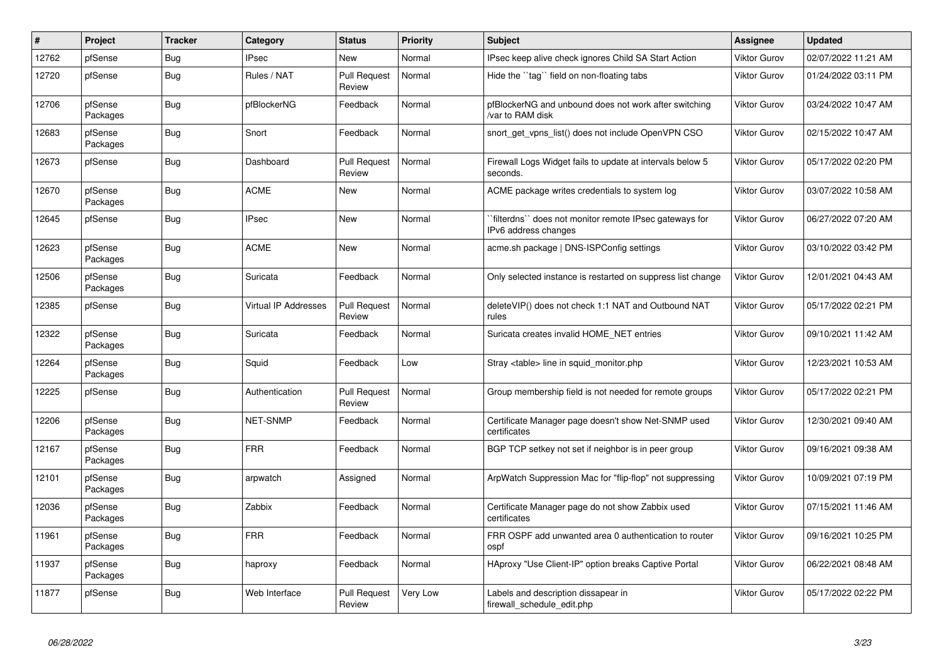| #     | <b>Project</b>      | <b>Tracker</b> | Category             | <b>Status</b>                 | <b>Priority</b> | <b>Subject</b>                                                                  | <b>Assignee</b>     | <b>Updated</b>      |
|-------|---------------------|----------------|----------------------|-------------------------------|-----------------|---------------------------------------------------------------------------------|---------------------|---------------------|
| 12762 | pfSense             | Bug            | <b>IPsec</b>         | <b>New</b>                    | Normal          | IPsec keep alive check ignores Child SA Start Action                            | <b>Viktor Gurov</b> | 02/07/2022 11:21 AM |
| 12720 | pfSense             | <b>Bug</b>     | Rules / NAT          | <b>Pull Request</b><br>Review | Normal          | Hide the "tag" field on non-floating tabs                                       | <b>Viktor Gurov</b> | 01/24/2022 03:11 PM |
| 12706 | pfSense<br>Packages | Bug            | pfBlockerNG          | Feedback                      | Normal          | pfBlockerNG and unbound does not work after switching<br>/var to RAM disk       | <b>Viktor Gurov</b> | 03/24/2022 10:47 AM |
| 12683 | pfSense<br>Packages | Bug            | Snort                | Feedback                      | Normal          | snort get vpns list() does not include OpenVPN CSO                              | <b>Viktor Gurov</b> | 02/15/2022 10:47 AM |
| 12673 | pfSense             | <b>Bug</b>     | Dashboard            | <b>Pull Request</b><br>Review | Normal          | Firewall Logs Widget fails to update at intervals below 5<br>seconds.           | <b>Viktor Gurov</b> | 05/17/2022 02:20 PM |
| 12670 | pfSense<br>Packages | <b>Bug</b>     | <b>ACME</b>          | New                           | Normal          | ACME package writes credentials to system log                                   | <b>Viktor Gurov</b> | 03/07/2022 10:58 AM |
| 12645 | pfSense             | <b>Bug</b>     | <b>IPsec</b>         | <b>New</b>                    | Normal          | `filterdns`` does not monitor remote IPsec gateways for<br>IPv6 address changes | <b>Viktor Gurov</b> | 06/27/2022 07:20 AM |
| 12623 | pfSense<br>Packages | <b>Bug</b>     | <b>ACME</b>          | <b>New</b>                    | Normal          | acme.sh package   DNS-ISPConfig settings                                        | <b>Viktor Gurov</b> | 03/10/2022 03:42 PM |
| 12506 | pfSense<br>Packages | Bug            | Suricata             | Feedback                      | Normal          | Only selected instance is restarted on suppress list change                     | <b>Viktor Gurov</b> | 12/01/2021 04:43 AM |
| 12385 | pfSense             | Bug            | Virtual IP Addresses | <b>Pull Request</b><br>Review | Normal          | deleteVIP() does not check 1:1 NAT and Outbound NAT<br>rules                    | <b>Viktor Gurov</b> | 05/17/2022 02:21 PM |
| 12322 | pfSense<br>Packages | Bug            | Suricata             | Feedback                      | Normal          | Suricata creates invalid HOME NET entries                                       | <b>Viktor Gurov</b> | 09/10/2021 11:42 AM |
| 12264 | pfSense<br>Packages | <b>Bug</b>     | Squid                | Feedback                      | Low             | Stray <table> line in squid monitor.php</table>                                 | <b>Viktor Gurov</b> | 12/23/2021 10:53 AM |
| 12225 | pfSense             | Bug            | Authentication       | <b>Pull Request</b><br>Review | Normal          | Group membership field is not needed for remote groups                          | <b>Viktor Gurov</b> | 05/17/2022 02:21 PM |
| 12206 | pfSense<br>Packages | Bug            | <b>NET-SNMP</b>      | Feedback                      | Normal          | Certificate Manager page doesn't show Net-SNMP used<br>certificates             | <b>Viktor Gurov</b> | 12/30/2021 09:40 AM |
| 12167 | pfSense<br>Packages | Bug            | <b>FRR</b>           | Feedback                      | Normal          | BGP TCP setkey not set if neighbor is in peer group                             | <b>Viktor Gurov</b> | 09/16/2021 09:38 AM |
| 12101 | pfSense<br>Packages | <b>Bug</b>     | arpwatch             | Assigned                      | Normal          | ArpWatch Suppression Mac for "flip-flop" not suppressing                        | <b>Viktor Gurov</b> | 10/09/2021 07:19 PM |
| 12036 | pfSense<br>Packages | Bug            | Zabbix               | Feedback                      | Normal          | Certificate Manager page do not show Zabbix used<br>certificates                | <b>Viktor Gurov</b> | 07/15/2021 11:46 AM |
| 11961 | pfSense<br>Packages | <b>Bug</b>     | <b>FRR</b>           | Feedback                      | Normal          | FRR OSPF add unwanted area 0 authentication to router<br>ospf                   | <b>Viktor Gurov</b> | 09/16/2021 10:25 PM |
| 11937 | pfSense<br>Packages | <b>Bug</b>     | haproxy              | Feedback                      | Normal          | HAproxy "Use Client-IP" option breaks Captive Portal                            | <b>Viktor Gurov</b> | 06/22/2021 08:48 AM |
| 11877 | pfSense             | <b>Bug</b>     | Web Interface        | Pull Request<br>Review        | Very Low        | Labels and description dissapear in<br>firewall schedule edit.php               | <b>Viktor Gurov</b> | 05/17/2022 02:22 PM |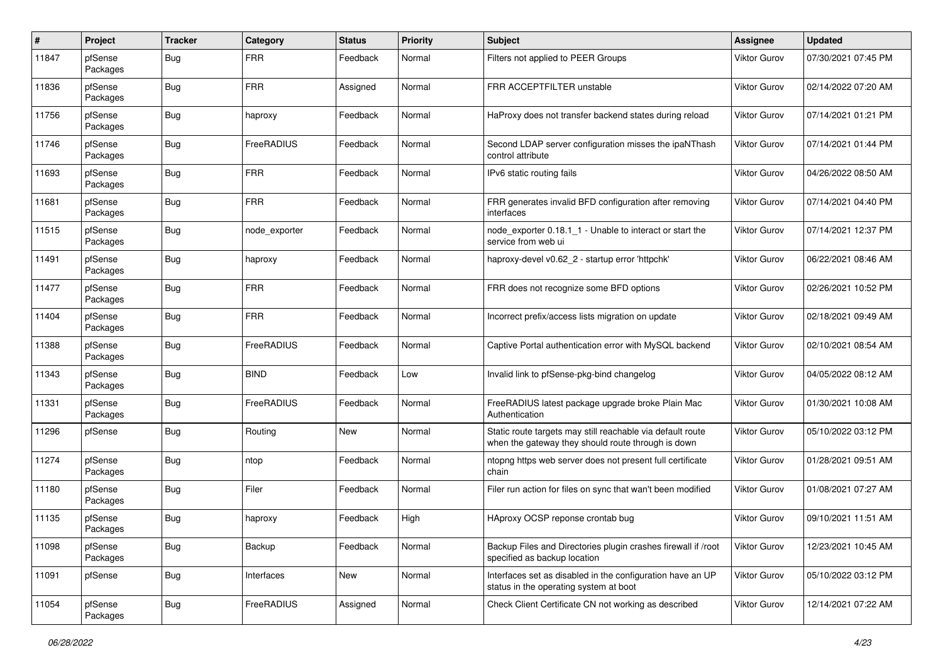| #     | Project             | <b>Tracker</b> | Category      | <b>Status</b> | <b>Priority</b> | <b>Subject</b>                                                                                                   | <b>Assignee</b>     | <b>Updated</b>      |
|-------|---------------------|----------------|---------------|---------------|-----------------|------------------------------------------------------------------------------------------------------------------|---------------------|---------------------|
| 11847 | pfSense<br>Packages | Bug            | <b>FRR</b>    | Feedback      | Normal          | Filters not applied to PEER Groups                                                                               | <b>Viktor Gurov</b> | 07/30/2021 07:45 PM |
| 11836 | pfSense<br>Packages | Bug            | <b>FRR</b>    | Assigned      | Normal          | <b>FRR ACCEPTFILTER unstable</b>                                                                                 | <b>Viktor Gurov</b> | 02/14/2022 07:20 AM |
| 11756 | pfSense<br>Packages | Bug            | haproxy       | Feedback      | Normal          | HaProxy does not transfer backend states during reload                                                           | <b>Viktor Gurov</b> | 07/14/2021 01:21 PM |
| 11746 | pfSense<br>Packages | Bug            | FreeRADIUS    | Feedback      | Normal          | Second LDAP server configuration misses the ipaNThash<br>control attribute                                       | <b>Viktor Gurov</b> | 07/14/2021 01:44 PM |
| 11693 | pfSense<br>Packages | Bug            | <b>FRR</b>    | Feedback      | Normal          | IPv6 static routing fails                                                                                        | Viktor Gurov        | 04/26/2022 08:50 AM |
| 11681 | pfSense<br>Packages | Bug            | <b>FRR</b>    | Feedback      | Normal          | FRR generates invalid BFD configuration after removing<br>interfaces                                             | <b>Viktor Gurov</b> | 07/14/2021 04:40 PM |
| 11515 | pfSense<br>Packages | Bug            | node exporter | Feedback      | Normal          | node exporter 0.18.1 1 - Unable to interact or start the<br>service from web ui                                  | <b>Viktor Gurov</b> | 07/14/2021 12:37 PM |
| 11491 | pfSense<br>Packages | Bug            | haproxy       | Feedback      | Normal          | haproxy-devel v0.62 2 - startup error 'httpchk'                                                                  | <b>Viktor Gurov</b> | 06/22/2021 08:46 AM |
| 11477 | pfSense<br>Packages | Bug            | <b>FRR</b>    | Feedback      | Normal          | FRR does not recognize some BFD options                                                                          | <b>Viktor Gurov</b> | 02/26/2021 10:52 PM |
| 11404 | pfSense<br>Packages | Bug            | <b>FRR</b>    | Feedback      | Normal          | Incorrect prefix/access lists migration on update                                                                | <b>Viktor Gurov</b> | 02/18/2021 09:49 AM |
| 11388 | pfSense<br>Packages | Bug            | FreeRADIUS    | Feedback      | Normal          | Captive Portal authentication error with MySQL backend                                                           | <b>Viktor Gurov</b> | 02/10/2021 08:54 AM |
| 11343 | pfSense<br>Packages | Bug            | <b>BIND</b>   | Feedback      | Low             | Invalid link to pfSense-pkg-bind changelog                                                                       | <b>Viktor Gurov</b> | 04/05/2022 08:12 AM |
| 11331 | pfSense<br>Packages | Bug            | FreeRADIUS    | Feedback      | Normal          | FreeRADIUS latest package upgrade broke Plain Mac<br>Authentication                                              | <b>Viktor Gurov</b> | 01/30/2021 10:08 AM |
| 11296 | pfSense             | Bug            | Routing       | New           | Normal          | Static route targets may still reachable via default route<br>when the gateway they should route through is down | Viktor Gurov        | 05/10/2022 03:12 PM |
| 11274 | pfSense<br>Packages | Bug            | ntop          | Feedback      | Normal          | ntopng https web server does not present full certificate<br>chain                                               | <b>Viktor Gurov</b> | 01/28/2021 09:51 AM |
| 11180 | pfSense<br>Packages | Bug            | Filer         | Feedback      | Normal          | Filer run action for files on sync that wan't been modified                                                      | Viktor Gurov        | 01/08/2021 07:27 AM |
| 11135 | pfSense<br>Packages | Bug            | haproxy       | Feedback      | High            | HAproxy OCSP reponse crontab bug                                                                                 | <b>Viktor Gurov</b> | 09/10/2021 11:51 AM |
| 11098 | pfSense<br>Packages | <b>Bug</b>     | Backup        | Feedback      | Normal          | Backup Files and Directories plugin crashes firewall if /root<br>specified as backup location                    | Viktor Gurov        | 12/23/2021 10:45 AM |
| 11091 | pfSense             | <b>Bug</b>     | Interfaces    | New           | Normal          | Interfaces set as disabled in the configuration have an UP<br>status in the operating system at boot             | Viktor Gurov        | 05/10/2022 03:12 PM |
| 11054 | pfSense<br>Packages | <b>Bug</b>     | FreeRADIUS    | Assigned      | Normal          | Check Client Certificate CN not working as described                                                             | Viktor Gurov        | 12/14/2021 07:22 AM |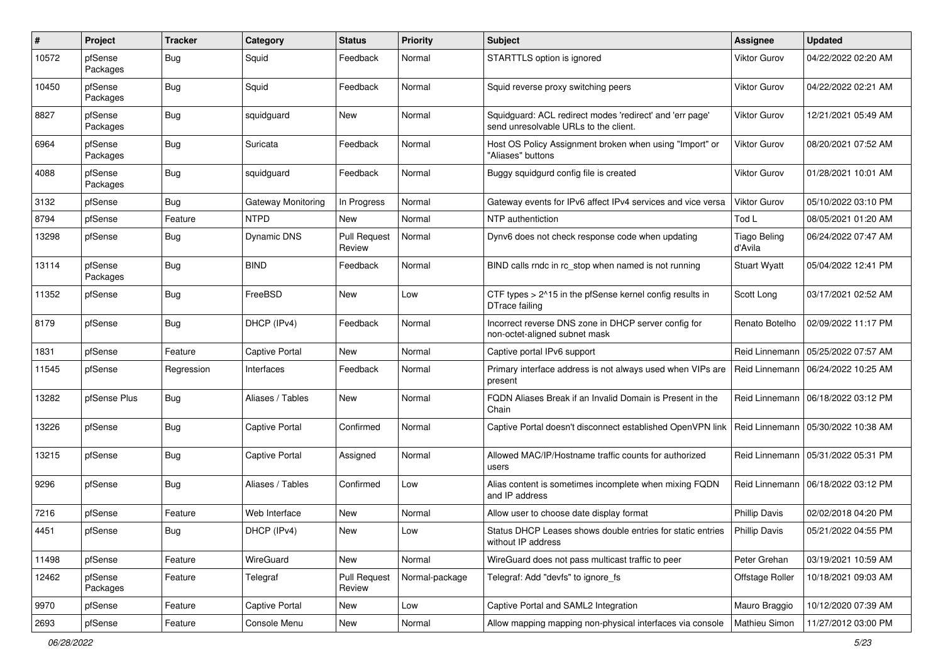| #     | Project             | <b>Tracker</b> | Category              | <b>Status</b>                 | <b>Priority</b> | <b>Subject</b>                                                                                    | Assignee                | <b>Updated</b>      |
|-------|---------------------|----------------|-----------------------|-------------------------------|-----------------|---------------------------------------------------------------------------------------------------|-------------------------|---------------------|
| 10572 | pfSense<br>Packages | Bug            | Squid                 | Feedback                      | Normal          | STARTTLS option is ignored                                                                        | Viktor Gurov            | 04/22/2022 02:20 AM |
| 10450 | pfSense<br>Packages | Bug            | Squid                 | Feedback                      | Normal          | Squid reverse proxy switching peers                                                               | Viktor Gurov            | 04/22/2022 02:21 AM |
| 8827  | pfSense<br>Packages | Bug            | squidguard            | <b>New</b>                    | Normal          | Squidguard: ACL redirect modes 'redirect' and 'err page'<br>send unresolvable URLs to the client. | Viktor Gurov            | 12/21/2021 05:49 AM |
| 6964  | pfSense<br>Packages | Bug            | Suricata              | Feedback                      | Normal          | Host OS Policy Assignment broken when using "Import" or<br>"Aliases" buttons                      | Viktor Gurov            | 08/20/2021 07:52 AM |
| 4088  | pfSense<br>Packages | Bug            | squidguard            | Feedback                      | Normal          | Buggy squidgurd config file is created                                                            | Viktor Gurov            | 01/28/2021 10:01 AM |
| 3132  | pfSense             | Bug            | Gateway Monitoring    | In Progress                   | Normal          | Gateway events for IPv6 affect IPv4 services and vice versa                                       | <b>Viktor Gurov</b>     | 05/10/2022 03:10 PM |
| 8794  | pfSense             | Feature        | <b>NTPD</b>           | New                           | Normal          | NTP authentiction                                                                                 | Tod L                   | 08/05/2021 01:20 AM |
| 13298 | pfSense             | Bug            | <b>Dynamic DNS</b>    | <b>Pull Request</b><br>Review | Normal          | Dynv6 does not check response code when updating                                                  | Tiago Beling<br>d'Avila | 06/24/2022 07:47 AM |
| 13114 | pfSense<br>Packages | Bug            | <b>BIND</b>           | Feedback                      | Normal          | BIND calls rndc in rc_stop when named is not running                                              | <b>Stuart Wyatt</b>     | 05/04/2022 12:41 PM |
| 11352 | pfSense             | Bug            | FreeBSD               | New                           | Low             | CTF types $> 215$ in the pfSense kernel config results in<br>DTrace failing                       | Scott Long              | 03/17/2021 02:52 AM |
| 8179  | pfSense             | Bug            | DHCP (IPv4)           | Feedback                      | Normal          | Incorrect reverse DNS zone in DHCP server config for<br>non-octet-aligned subnet mask             | Renato Botelho          | 02/09/2022 11:17 PM |
| 1831  | pfSense             | Feature        | <b>Captive Portal</b> | New                           | Normal          | Captive portal IPv6 support                                                                       | Reid Linnemann          | 05/25/2022 07:57 AM |
| 11545 | pfSense             | Regression     | Interfaces            | Feedback                      | Normal          | Primary interface address is not always used when VIPs are<br>present                             | Reid Linnemann          | 06/24/2022 10:25 AM |
| 13282 | pfSense Plus        | Bug            | Aliases / Tables      | <b>New</b>                    | Normal          | FQDN Aliases Break if an Invalid Domain is Present in the<br>Chain                                | Reid Linnemann          | 06/18/2022 03:12 PM |
| 13226 | pfSense             | Bug            | <b>Captive Portal</b> | Confirmed                     | Normal          | Captive Portal doesn't disconnect established OpenVPN link   Reid Linnemann                       |                         | 05/30/2022 10:38 AM |
| 13215 | pfSense             | Bug            | Captive Portal        | Assigned                      | Normal          | Allowed MAC/IP/Hostname traffic counts for authorized<br>users                                    | Reid Linnemann          | 05/31/2022 05:31 PM |
| 9296  | pfSense             | Bug            | Aliases / Tables      | Confirmed                     | Low             | Alias content is sometimes incomplete when mixing FQDN<br>and IP address                          | Reid Linnemann          | 06/18/2022 03:12 PM |
| 7216  | pfSense             | Feature        | Web Interface         | New                           | Normal          | Allow user to choose date display format                                                          | <b>Phillip Davis</b>    | 02/02/2018 04:20 PM |
| 4451  | pfSense             | Bug            | DHCP (IPv4)           | New                           | Low             | Status DHCP Leases shows double entries for static entries<br>without IP address                  | <b>Phillip Davis</b>    | 05/21/2022 04:55 PM |
| 11498 | pfSense             | Feature        | WireGuard             | New                           | Normal          | WireGuard does not pass multicast traffic to peer                                                 | Peter Grehan            | 03/19/2021 10:59 AM |
| 12462 | pfSense<br>Packages | Feature        | Telegraf              | <b>Pull Request</b><br>Review | Normal-package  | Telegraf: Add "devfs" to ignore_fs                                                                | Offstage Roller         | 10/18/2021 09:03 AM |
| 9970  | pfSense             | Feature        | <b>Captive Portal</b> | New                           | Low             | Captive Portal and SAML2 Integration                                                              | Mauro Braggio           | 10/12/2020 07:39 AM |
| 2693  | pfSense             | Feature        | Console Menu          | New                           | Normal          | Allow mapping mapping non-physical interfaces via console                                         | Mathieu Simon           | 11/27/2012 03:00 PM |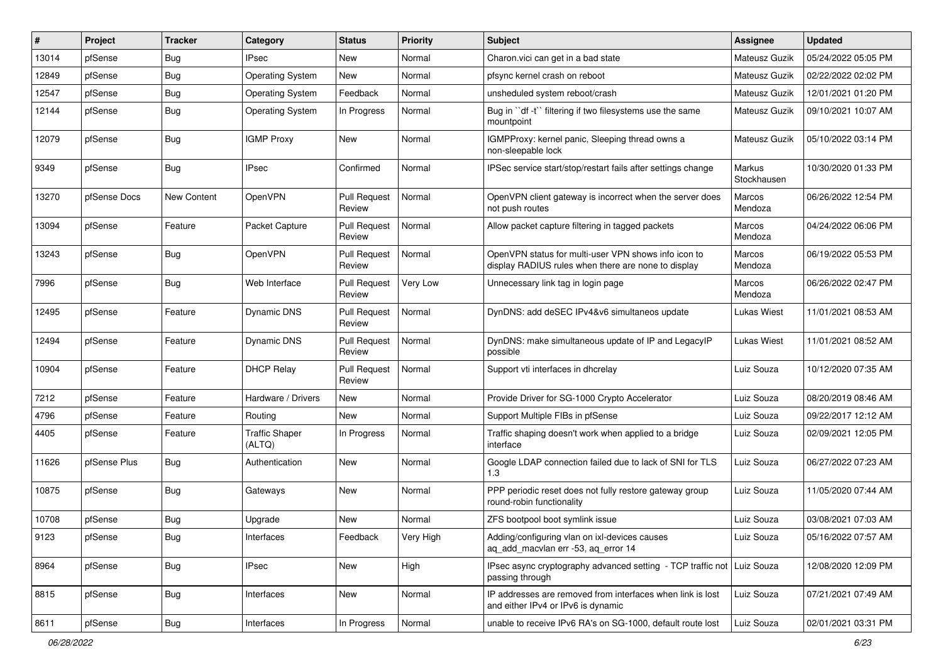| $\#$  | Project      | <b>Tracker</b>     | Category                        | <b>Status</b>                 | <b>Priority</b> | <b>Subject</b>                                                                                              | Assignee              | <b>Updated</b>      |
|-------|--------------|--------------------|---------------------------------|-------------------------------|-----------------|-------------------------------------------------------------------------------------------------------------|-----------------------|---------------------|
| 13014 | pfSense      | Bug                | IPsec                           | New                           | Normal          | Charon. vici can get in a bad state                                                                         | Mateusz Guzik         | 05/24/2022 05:05 PM |
| 12849 | pfSense      | Bug                | <b>Operating System</b>         | New                           | Normal          | pfsync kernel crash on reboot                                                                               | Mateusz Guzik         | 02/22/2022 02:02 PM |
| 12547 | pfSense      | Bug                | <b>Operating System</b>         | Feedback                      | Normal          | unsheduled system reboot/crash                                                                              | Mateusz Guzik         | 12/01/2021 01:20 PM |
| 12144 | pfSense      | Bug                | Operating System                | In Progress                   | Normal          | Bug in "df -t" filtering if two filesystems use the same<br>mountpoint                                      | Mateusz Guzik         | 09/10/2021 10:07 AM |
| 12079 | pfSense      | Bug                | <b>IGMP Proxy</b>               | New                           | Normal          | IGMPProxy: kernel panic, Sleeping thread owns a<br>non-sleepable lock                                       | Mateusz Guzik         | 05/10/2022 03:14 PM |
| 9349  | pfSense      | Bug                | <b>IPsec</b>                    | Confirmed                     | Normal          | IPSec service start/stop/restart fails after settings change                                                | Markus<br>Stockhausen | 10/30/2020 01:33 PM |
| 13270 | pfSense Docs | <b>New Content</b> | OpenVPN                         | Pull Request<br>Review        | Normal          | OpenVPN client gateway is incorrect when the server does<br>not push routes                                 | Marcos<br>Mendoza     | 06/26/2022 12:54 PM |
| 13094 | pfSense      | Feature            | Packet Capture                  | <b>Pull Request</b><br>Review | Normal          | Allow packet capture filtering in tagged packets                                                            | Marcos<br>Mendoza     | 04/24/2022 06:06 PM |
| 13243 | pfSense      | Bug                | OpenVPN                         | <b>Pull Request</b><br>Review | Normal          | OpenVPN status for multi-user VPN shows info icon to<br>display RADIUS rules when there are none to display | Marcos<br>Mendoza     | 06/19/2022 05:53 PM |
| 7996  | pfSense      | Bug                | Web Interface                   | <b>Pull Request</b><br>Review | Very Low        | Unnecessary link tag in login page                                                                          | Marcos<br>Mendoza     | 06/26/2022 02:47 PM |
| 12495 | pfSense      | Feature            | Dynamic DNS                     | <b>Pull Request</b><br>Review | Normal          | DynDNS: add deSEC IPv4&v6 simultaneos update                                                                | Lukas Wiest           | 11/01/2021 08:53 AM |
| 12494 | pfSense      | Feature            | <b>Dynamic DNS</b>              | <b>Pull Request</b><br>Review | Normal          | DynDNS: make simultaneous update of IP and LegacyIP<br>possible                                             | Lukas Wiest           | 11/01/2021 08:52 AM |
| 10904 | pfSense      | Feature            | <b>DHCP Relay</b>               | Pull Request<br>Review        | Normal          | Support vti interfaces in dhcrelay                                                                          | Luiz Souza            | 10/12/2020 07:35 AM |
| 7212  | pfSense      | Feature            | Hardware / Drivers              | <b>New</b>                    | Normal          | Provide Driver for SG-1000 Crypto Accelerator                                                               | Luiz Souza            | 08/20/2019 08:46 AM |
| 4796  | pfSense      | Feature            | Routing                         | New                           | Normal          | Support Multiple FIBs in pfSense                                                                            | Luiz Souza            | 09/22/2017 12:12 AM |
| 4405  | pfSense      | Feature            | <b>Traffic Shaper</b><br>(ALTQ) | In Progress                   | Normal          | Traffic shaping doesn't work when applied to a bridge<br>interface                                          | Luiz Souza            | 02/09/2021 12:05 PM |
| 11626 | pfSense Plus | <b>Bug</b>         | Authentication                  | New                           | Normal          | Google LDAP connection failed due to lack of SNI for TLS<br>1.3                                             | Luiz Souza            | 06/27/2022 07:23 AM |
| 10875 | pfSense      | Bug                | Gateways                        | <b>New</b>                    | Normal          | PPP periodic reset does not fully restore gateway group<br>round-robin functionality                        | Luiz Souza            | 11/05/2020 07:44 AM |
| 10708 | pfSense      | Bug                | Upgrade                         | <b>New</b>                    | Normal          | ZFS bootpool boot symlink issue                                                                             | Luiz Souza            | 03/08/2021 07:03 AM |
| 9123  | pfSense      | Bug                | Interfaces                      | Feedback                      | Very High       | Adding/configuring vlan on ixl-devices causes<br>aq_add_macvlan err -53, aq_error 14                        | Luiz Souza            | 05/16/2022 07:57 AM |
| 8964  | pfSense      | Bug                | <b>IPsec</b>                    | New                           | High            | IPsec async cryptography advanced setting - TCP traffic not<br>passing through                              | Luiz Souza            | 12/08/2020 12:09 PM |
| 8815  | pfSense      | Bug                | Interfaces                      | New                           | Normal          | IP addresses are removed from interfaces when link is lost<br>and either IPv4 or IPv6 is dynamic            | Luiz Souza            | 07/21/2021 07:49 AM |
| 8611  | pfSense      | Bug                | Interfaces                      | In Progress                   | Normal          | unable to receive IPv6 RA's on SG-1000, default route lost                                                  | Luiz Souza            | 02/01/2021 03:31 PM |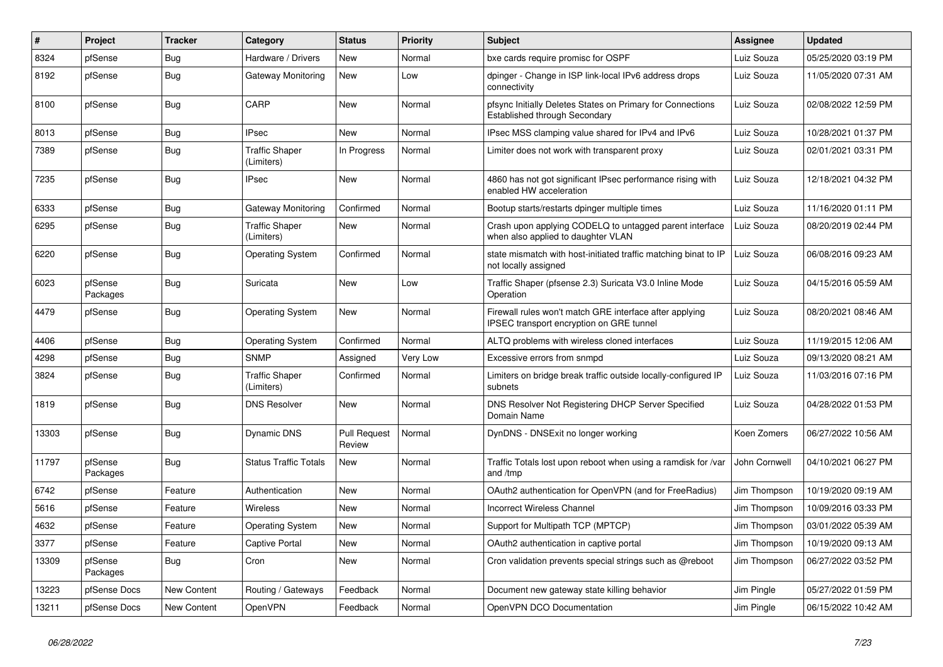| $\pmb{\#}$ | Project             | <b>Tracker</b> | Category                            | <b>Status</b>                 | <b>Priority</b> | Subject                                                                                                    | Assignee      | <b>Updated</b>      |
|------------|---------------------|----------------|-------------------------------------|-------------------------------|-----------------|------------------------------------------------------------------------------------------------------------|---------------|---------------------|
| 8324       | pfSense             | <b>Bug</b>     | Hardware / Drivers                  | <b>New</b>                    | Normal          | bxe cards require promisc for OSPF                                                                         | Luiz Souza    | 05/25/2020 03:19 PM |
| 8192       | pfSense             | Bug            | Gateway Monitoring                  | <b>New</b>                    | Low             | dpinger - Change in ISP link-local IPv6 address drops<br>connectivity                                      | Luiz Souza    | 11/05/2020 07:31 AM |
| 8100       | pfSense             | Bug            | CARP                                | New                           | Normal          | pfsync Initially Deletes States on Primary for Connections<br>Established through Secondary                | Luiz Souza    | 02/08/2022 12:59 PM |
| 8013       | pfSense             | <b>Bug</b>     | <b>IPsec</b>                        | <b>New</b>                    | Normal          | IPsec MSS clamping value shared for IPv4 and IPv6                                                          | Luiz Souza    | 10/28/2021 01:37 PM |
| 7389       | pfSense             | <b>Bug</b>     | <b>Traffic Shaper</b><br>(Limiters) | In Progress                   | Normal          | Limiter does not work with transparent proxy                                                               | Luiz Souza    | 02/01/2021 03:31 PM |
| 7235       | pfSense             | Bug            | <b>IPsec</b>                        | <b>New</b>                    | Normal          | 4860 has not got significant IPsec performance rising with<br>enabled HW acceleration                      | Luiz Souza    | 12/18/2021 04:32 PM |
| 6333       | pfSense             | Bug            | <b>Gateway Monitoring</b>           | Confirmed                     | Normal          | Bootup starts/restarts dpinger multiple times                                                              | Luiz Souza    | 11/16/2020 01:11 PM |
| 6295       | pfSense             | <b>Bug</b>     | <b>Traffic Shaper</b><br>(Limiters) | <b>New</b>                    | Normal          | Crash upon applying CODELQ to untagged parent interface<br>when also applied to daughter VLAN              | Luiz Souza    | 08/20/2019 02:44 PM |
| 6220       | pfSense             | Bug            | <b>Operating System</b>             | Confirmed                     | Normal          | state mismatch with host-initiated traffic matching binat to IP<br>not locally assigned                    | Luiz Souza    | 06/08/2016 09:23 AM |
| 6023       | pfSense<br>Packages | <b>Bug</b>     | Suricata                            | New                           | Low             | Traffic Shaper (pfsense 2.3) Suricata V3.0 Inline Mode<br>Operation                                        | Luiz Souza    | 04/15/2016 05:59 AM |
| 4479       | pfSense             | <b>Bug</b>     | <b>Operating System</b>             | <b>New</b>                    | Normal          | Firewall rules won't match GRE interface after applying<br><b>IPSEC</b> transport encryption on GRE tunnel | Luiz Souza    | 08/20/2021 08:46 AM |
| 4406       | pfSense             | Bug            | <b>Operating System</b>             | Confirmed                     | Normal          | ALTQ problems with wireless cloned interfaces                                                              | Luiz Souza    | 11/19/2015 12:06 AM |
| 4298       | pfSense             | Bug            | <b>SNMP</b>                         | Assigned                      | <b>Very Low</b> | Excessive errors from snmpd                                                                                | Luiz Souza    | 09/13/2020 08:21 AM |
| 3824       | pfSense             | Bug            | <b>Traffic Shaper</b><br>(Limiters) | Confirmed                     | Normal          | Limiters on bridge break traffic outside locally-configured IP<br>subnets                                  | Luiz Souza    | 11/03/2016 07:16 PM |
| 1819       | pfSense             | <b>Bug</b>     | <b>DNS Resolver</b>                 | New                           | Normal          | DNS Resolver Not Registering DHCP Server Specified<br>Domain Name                                          | Luiz Souza    | 04/28/2022 01:53 PM |
| 13303      | pfSense             | Bug            | Dynamic DNS                         | <b>Pull Request</b><br>Review | Normal          | DynDNS - DNSExit no longer working                                                                         | Koen Zomers   | 06/27/2022 10:56 AM |
| 11797      | pfSense<br>Packages | Bug            | <b>Status Traffic Totals</b>        | <b>New</b>                    | Normal          | Traffic Totals lost upon reboot when using a ramdisk for /var<br>and /tmp                                  | John Cornwell | 04/10/2021 06:27 PM |
| 6742       | pfSense             | Feature        | Authentication                      | <b>New</b>                    | Normal          | OAuth2 authentication for OpenVPN (and for FreeRadius)                                                     | Jim Thompson  | 10/19/2020 09:19 AM |
| 5616       | pfSense             | Feature        | Wireless                            | New                           | Normal          | <b>Incorrect Wireless Channel</b>                                                                          | Jim Thompson  | 10/09/2016 03:33 PM |
| 4632       | pfSense             | Feature        | <b>Operating System</b>             | <b>New</b>                    | Normal          | Support for Multipath TCP (MPTCP)                                                                          | Jim Thompson  | 03/01/2022 05:39 AM |
| 3377       | pfSense             | Feature        | <b>Captive Portal</b>               | <b>New</b>                    | Normal          | OAuth2 authentication in captive portal                                                                    | Jim Thompson  | 10/19/2020 09:13 AM |
| 13309      | pfSense<br>Packages | Bug            | Cron                                | New                           | Normal          | Cron validation prevents special strings such as @reboot                                                   | Jim Thompson  | 06/27/2022 03:52 PM |
| 13223      | pfSense Docs        | New Content    | Routing / Gateways                  | Feedback                      | Normal          | Document new gateway state killing behavior                                                                | Jim Pingle    | 05/27/2022 01:59 PM |
| 13211      | pfSense Docs        | New Content    | OpenVPN                             | Feedback                      | Normal          | OpenVPN DCO Documentation                                                                                  | Jim Pingle    | 06/15/2022 10:42 AM |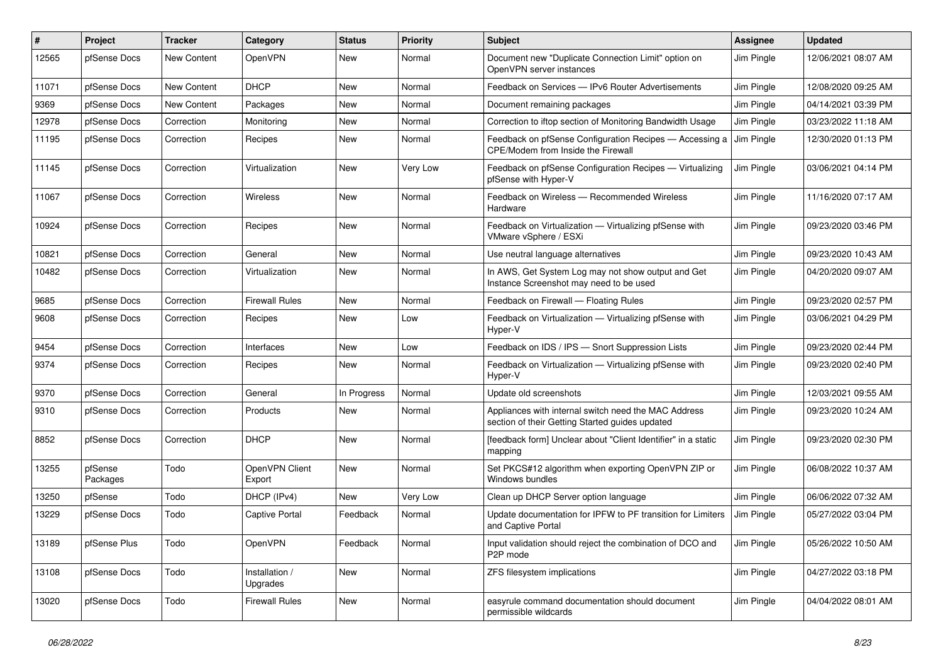| #     | Project             | <b>Tracker</b> | Category                   | <b>Status</b> | <b>Priority</b> | <b>Subject</b>                                                                                          | Assignee   | <b>Updated</b>      |
|-------|---------------------|----------------|----------------------------|---------------|-----------------|---------------------------------------------------------------------------------------------------------|------------|---------------------|
| 12565 | pfSense Docs        | New Content    | OpenVPN                    | New           | Normal          | Document new "Duplicate Connection Limit" option on<br>OpenVPN server instances                         | Jim Pingle | 12/06/2021 08:07 AM |
| 11071 | pfSense Docs        | New Content    | <b>DHCP</b>                | New           | Normal          | Feedback on Services - IPv6 Router Advertisements                                                       | Jim Pingle | 12/08/2020 09:25 AM |
| 9369  | pfSense Docs        | New Content    | Packages                   | New           | Normal          | Document remaining packages                                                                             | Jim Pingle | 04/14/2021 03:39 PM |
| 12978 | pfSense Docs        | Correction     | Monitoring                 | <b>New</b>    | Normal          | Correction to iftop section of Monitoring Bandwidth Usage                                               | Jim Pingle | 03/23/2022 11:18 AM |
| 11195 | pfSense Docs        | Correction     | Recipes                    | New           | Normal          | Feedback on pfSense Configuration Recipes - Accessing a<br>CPE/Modem from Inside the Firewall           | Jim Pingle | 12/30/2020 01:13 PM |
| 11145 | pfSense Docs        | Correction     | Virtualization             | <b>New</b>    | Very Low        | Feedback on pfSense Configuration Recipes - Virtualizing<br>pfSense with Hyper-V                        | Jim Pingle | 03/06/2021 04:14 PM |
| 11067 | pfSense Docs        | Correction     | <b>Wireless</b>            | <b>New</b>    | Normal          | Feedback on Wireless - Recommended Wireless<br>Hardware                                                 | Jim Pingle | 11/16/2020 07:17 AM |
| 10924 | pfSense Docs        | Correction     | Recipes                    | <b>New</b>    | Normal          | Feedback on Virtualization - Virtualizing pfSense with<br>VMware vSphere / ESXi                         | Jim Pingle | 09/23/2020 03:46 PM |
| 10821 | pfSense Docs        | Correction     | General                    | <b>New</b>    | Normal          | Use neutral language alternatives                                                                       | Jim Pingle | 09/23/2020 10:43 AM |
| 10482 | pfSense Docs        | Correction     | Virtualization             | New           | Normal          | In AWS, Get System Log may not show output and Get<br>Instance Screenshot may need to be used           | Jim Pingle | 04/20/2020 09:07 AM |
| 9685  | pfSense Docs        | Correction     | <b>Firewall Rules</b>      | <b>New</b>    | Normal          | Feedback on Firewall - Floating Rules                                                                   | Jim Pingle | 09/23/2020 02:57 PM |
| 9608  | pfSense Docs        | Correction     | Recipes                    | New           | Low             | Feedback on Virtualization - Virtualizing pfSense with<br>Hyper-V                                       | Jim Pingle | 03/06/2021 04:29 PM |
| 9454  | pfSense Docs        | Correction     | Interfaces                 | <b>New</b>    | Low             | Feedback on IDS / IPS - Snort Suppression Lists                                                         | Jim Pingle | 09/23/2020 02:44 PM |
| 9374  | pfSense Docs        | Correction     | Recipes                    | New           | Normal          | Feedback on Virtualization - Virtualizing pfSense with<br>Hyper-V                                       | Jim Pingle | 09/23/2020 02:40 PM |
| 9370  | pfSense Docs        | Correction     | General                    | In Progress   | Normal          | Update old screenshots                                                                                  | Jim Pingle | 12/03/2021 09:55 AM |
| 9310  | pfSense Docs        | Correction     | Products                   | <b>New</b>    | Normal          | Appliances with internal switch need the MAC Address<br>section of their Getting Started guides updated | Jim Pingle | 09/23/2020 10:24 AM |
| 8852  | pfSense Docs        | Correction     | <b>DHCP</b>                | <b>New</b>    | Normal          | [feedback form] Unclear about "Client Identifier" in a static<br>mapping                                | Jim Pingle | 09/23/2020 02:30 PM |
| 13255 | pfSense<br>Packages | Todo           | OpenVPN Client<br>Export   | New           | Normal          | Set PKCS#12 algorithm when exporting OpenVPN ZIP or<br>Windows bundles                                  | Jim Pingle | 06/08/2022 10:37 AM |
| 13250 | pfSense             | Todo           | DHCP (IPv4)                | New           | Very Low        | Clean up DHCP Server option language                                                                    | Jim Pingle | 06/06/2022 07:32 AM |
| 13229 | pfSense Docs        | Todo           | <b>Captive Portal</b>      | Feedback      | Normal          | Update documentation for IPFW to PF transition for Limiters<br>and Captive Portal                       | Jim Pingle | 05/27/2022 03:04 PM |
| 13189 | pfSense Plus        | Todo           | OpenVPN                    | Feedback      | Normal          | Input validation should reject the combination of DCO and<br>P2P mode                                   | Jim Pingle | 05/26/2022 10:50 AM |
| 13108 | pfSense Docs        | Todo           | Installation /<br>Upgrades | New           | Normal          | ZFS filesystem implications                                                                             | Jim Pingle | 04/27/2022 03:18 PM |
| 13020 | pfSense Docs        | Todo           | <b>Firewall Rules</b>      | New           | Normal          | easyrule command documentation should document<br>permissible wildcards                                 | Jim Pingle | 04/04/2022 08:01 AM |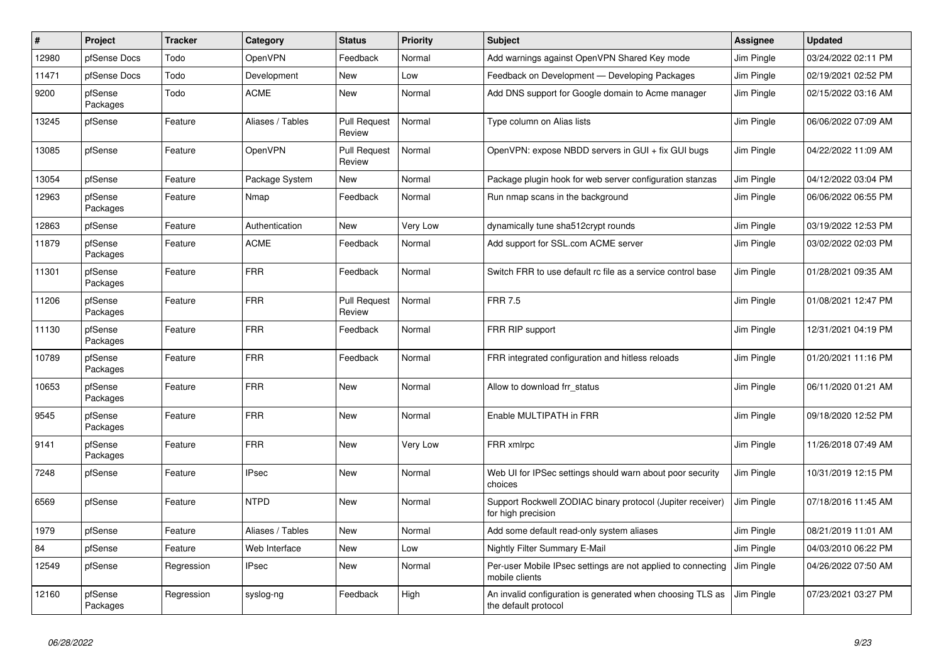| $\vert$ # | Project             | <b>Tracker</b> | Category         | <b>Status</b>                 | <b>Priority</b> | <b>Subject</b>                                                                     | <b>Assignee</b> | <b>Updated</b>      |
|-----------|---------------------|----------------|------------------|-------------------------------|-----------------|------------------------------------------------------------------------------------|-----------------|---------------------|
| 12980     | pfSense Docs        | Todo           | <b>OpenVPN</b>   | Feedback                      | Normal          | Add warnings against OpenVPN Shared Key mode                                       | Jim Pingle      | 03/24/2022 02:11 PM |
| 11471     | pfSense Docs        | Todo           | Development      | New                           | Low             | Feedback on Development - Developing Packages                                      | Jim Pingle      | 02/19/2021 02:52 PM |
| 9200      | pfSense<br>Packages | Todo           | <b>ACME</b>      | <b>New</b>                    | Normal          | Add DNS support for Google domain to Acme manager                                  | Jim Pingle      | 02/15/2022 03:16 AM |
| 13245     | pfSense             | Feature        | Aliases / Tables | <b>Pull Request</b><br>Review | Normal          | Type column on Alias lists                                                         | Jim Pingle      | 06/06/2022 07:09 AM |
| 13085     | pfSense             | Feature        | OpenVPN          | <b>Pull Request</b><br>Review | Normal          | OpenVPN: expose NBDD servers in GUI + fix GUI bugs                                 | Jim Pingle      | 04/22/2022 11:09 AM |
| 13054     | pfSense             | Feature        | Package System   | New                           | Normal          | Package plugin hook for web server configuration stanzas                           | Jim Pingle      | 04/12/2022 03:04 PM |
| 12963     | pfSense<br>Packages | Feature        | Nmap             | Feedback                      | Normal          | Run nmap scans in the background                                                   | Jim Pingle      | 06/06/2022 06:55 PM |
| 12863     | pfSense             | Feature        | Authentication   | <b>New</b>                    | Very Low        | dynamically tune sha512crypt rounds                                                | Jim Pingle      | 03/19/2022 12:53 PM |
| 11879     | pfSense<br>Packages | Feature        | <b>ACME</b>      | Feedback                      | Normal          | Add support for SSL.com ACME server                                                | Jim Pingle      | 03/02/2022 02:03 PM |
| 11301     | pfSense<br>Packages | Feature        | <b>FRR</b>       | Feedback                      | Normal          | Switch FRR to use default rc file as a service control base                        | Jim Pingle      | 01/28/2021 09:35 AM |
| 11206     | pfSense<br>Packages | Feature        | <b>FRR</b>       | <b>Pull Request</b><br>Review | Normal          | <b>FRR 7.5</b>                                                                     | Jim Pingle      | 01/08/2021 12:47 PM |
| 11130     | pfSense<br>Packages | Feature        | <b>FRR</b>       | Feedback                      | Normal          | FRR RIP support                                                                    | Jim Pingle      | 12/31/2021 04:19 PM |
| 10789     | pfSense<br>Packages | Feature        | <b>FRR</b>       | Feedback                      | Normal          | FRR integrated configuration and hitless reloads                                   | Jim Pingle      | 01/20/2021 11:16 PM |
| 10653     | pfSense<br>Packages | Feature        | <b>FRR</b>       | New                           | Normal          | Allow to download frr status                                                       | Jim Pingle      | 06/11/2020 01:21 AM |
| 9545      | pfSense<br>Packages | Feature        | <b>FRR</b>       | <b>New</b>                    | Normal          | Enable MULTIPATH in FRR                                                            | Jim Pingle      | 09/18/2020 12:52 PM |
| 9141      | pfSense<br>Packages | Feature        | <b>FRR</b>       | <b>New</b>                    | Very Low        | FRR xmlrpc                                                                         | Jim Pingle      | 11/26/2018 07:49 AM |
| 7248      | pfSense             | Feature        | <b>IPsec</b>     | <b>New</b>                    | Normal          | Web UI for IPSec settings should warn about poor security<br>choices               | Jim Pingle      | 10/31/2019 12:15 PM |
| 6569      | pfSense             | Feature        | <b>NTPD</b>      | <b>New</b>                    | Normal          | Support Rockwell ZODIAC binary protocol (Jupiter receiver)<br>for high precision   | Jim Pingle      | 07/18/2016 11:45 AM |
| 1979      | pfSense             | Feature        | Aliases / Tables | <b>New</b>                    | Normal          | Add some default read-only system aliases                                          | Jim Pingle      | 08/21/2019 11:01 AM |
| 84        | pfSense             | Feature        | Web Interface    | <b>New</b>                    | Low             | Nightly Filter Summary E-Mail                                                      | Jim Pingle      | 04/03/2010 06:22 PM |
| 12549     | pfSense             | Regression     | <b>IPsec</b>     | <b>New</b>                    | Normal          | Per-user Mobile IPsec settings are not applied to connecting<br>mobile clients     | Jim Pingle      | 04/26/2022 07:50 AM |
| 12160     | pfSense<br>Packages | Regression     | syslog-ng        | Feedback                      | High            | An invalid configuration is generated when choosing TLS as<br>the default protocol | Jim Pingle      | 07/23/2021 03:27 PM |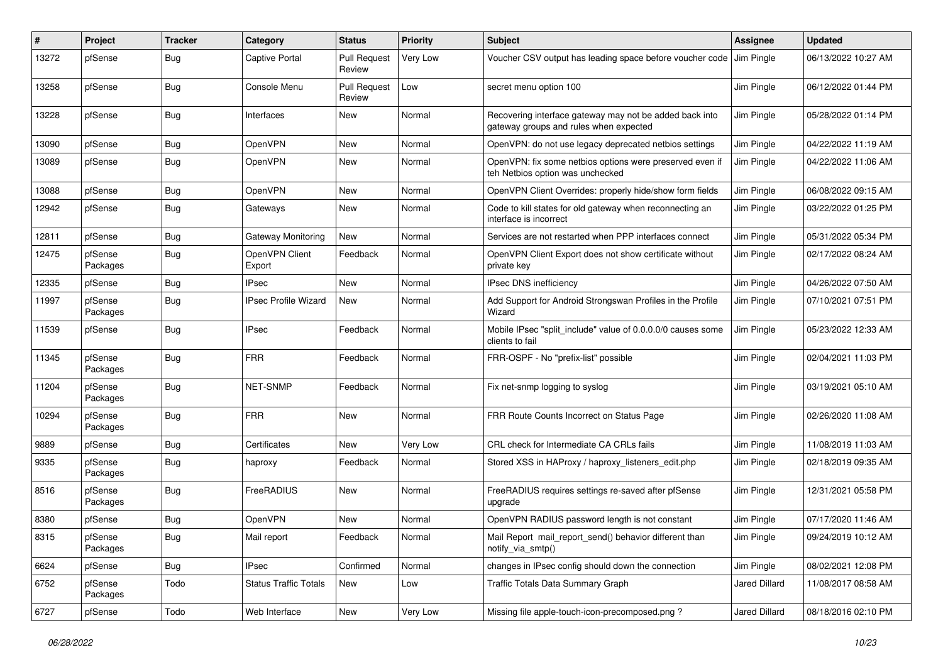| #     | Project             | <b>Tracker</b> | Category                     | <b>Status</b>                 | <b>Priority</b> | <b>Subject</b>                                                                                    | Assignee      | <b>Updated</b>      |
|-------|---------------------|----------------|------------------------------|-------------------------------|-----------------|---------------------------------------------------------------------------------------------------|---------------|---------------------|
| 13272 | pfSense             | Bug            | <b>Captive Portal</b>        | <b>Pull Request</b><br>Review | Very Low        | Voucher CSV output has leading space before voucher code                                          | Jim Pingle    | 06/13/2022 10:27 AM |
| 13258 | pfSense             | Bug            | Console Menu                 | <b>Pull Request</b><br>Review | Low             | secret menu option 100                                                                            | Jim Pingle    | 06/12/2022 01:44 PM |
| 13228 | pfSense             | <b>Bug</b>     | Interfaces                   | New                           | Normal          | Recovering interface gateway may not be added back into<br>gateway groups and rules when expected | Jim Pingle    | 05/28/2022 01:14 PM |
| 13090 | pfSense             | Bug            | OpenVPN                      | <b>New</b>                    | Normal          | OpenVPN: do not use legacy deprecated netbios settings                                            | Jim Pingle    | 04/22/2022 11:19 AM |
| 13089 | pfSense             | Bug            | OpenVPN                      | New                           | Normal          | OpenVPN: fix some netbios options were preserved even if<br>teh Netbios option was unchecked      | Jim Pingle    | 04/22/2022 11:06 AM |
| 13088 | pfSense             | Bug            | OpenVPN                      | <b>New</b>                    | Normal          | OpenVPN Client Overrides: properly hide/show form fields                                          | Jim Pingle    | 06/08/2022 09:15 AM |
| 12942 | pfSense             | Bug            | Gateways                     | <b>New</b>                    | Normal          | Code to kill states for old gateway when reconnecting an<br>interface is incorrect                | Jim Pingle    | 03/22/2022 01:25 PM |
| 12811 | pfSense             | Bug            | <b>Gateway Monitoring</b>    | New                           | Normal          | Services are not restarted when PPP interfaces connect                                            | Jim Pingle    | 05/31/2022 05:34 PM |
| 12475 | pfSense<br>Packages | Bug            | OpenVPN Client<br>Export     | Feedback                      | Normal          | OpenVPN Client Export does not show certificate without<br>private key                            | Jim Pingle    | 02/17/2022 08:24 AM |
| 12335 | pfSense             | Bug            | <b>IPsec</b>                 | <b>New</b>                    | Normal          | <b>IPsec DNS inefficiency</b>                                                                     | Jim Pingle    | 04/26/2022 07:50 AM |
| 11997 | pfSense<br>Packages | <b>Bug</b>     | <b>IPsec Profile Wizard</b>  | New                           | Normal          | Add Support for Android Strongswan Profiles in the Profile<br>Wizard                              | Jim Pingle    | 07/10/2021 07:51 PM |
| 11539 | pfSense             | <b>Bug</b>     | <b>IPsec</b>                 | Feedback                      | Normal          | Mobile IPsec "split include" value of 0.0.0.0/0 causes some<br>clients to fail                    | Jim Pingle    | 05/23/2022 12:33 AM |
| 11345 | pfSense<br>Packages | <b>Bug</b>     | <b>FRR</b>                   | Feedback                      | Normal          | FRR-OSPF - No "prefix-list" possible                                                              | Jim Pingle    | 02/04/2021 11:03 PM |
| 11204 | pfSense<br>Packages | Bug            | <b>NET-SNMP</b>              | Feedback                      | Normal          | Fix net-snmp logging to syslog                                                                    | Jim Pingle    | 03/19/2021 05:10 AM |
| 10294 | pfSense<br>Packages | Bug            | <b>FRR</b>                   | <b>New</b>                    | Normal          | FRR Route Counts Incorrect on Status Page                                                         | Jim Pingle    | 02/26/2020 11:08 AM |
| 9889  | pfSense             | <b>Bug</b>     | Certificates                 | <b>New</b>                    | Very Low        | CRL check for Intermediate CA CRLs fails                                                          | Jim Pingle    | 11/08/2019 11:03 AM |
| 9335  | pfSense<br>Packages | Bug            | haproxy                      | Feedback                      | Normal          | Stored XSS in HAProxy / haproxy listeners edit.php                                                | Jim Pingle    | 02/18/2019 09:35 AM |
| 8516  | pfSense<br>Packages | <b>Bug</b>     | FreeRADIUS                   | <b>New</b>                    | Normal          | FreeRADIUS requires settings re-saved after pfSense<br>upgrade                                    | Jim Pingle    | 12/31/2021 05:58 PM |
| 8380  | pfSense             | Bug            | OpenVPN                      | <b>New</b>                    | Normal          | OpenVPN RADIUS password length is not constant                                                    | Jim Pingle    | 07/17/2020 11:46 AM |
| 8315  | pfSense<br>Packages | <b>Bug</b>     | Mail report                  | Feedback                      | Normal          | Mail Report mail_report_send() behavior different than<br>notify_via_smtp()                       | Jim Pingle    | 09/24/2019 10:12 AM |
| 6624  | pfSense             | <b>Bug</b>     | <b>IPsec</b>                 | Confirmed                     | Normal          | changes in IPsec config should down the connection                                                | Jim Pingle    | 08/02/2021 12:08 PM |
| 6752  | pfSense<br>Packages | Todo           | <b>Status Traffic Totals</b> | New                           | Low             | Traffic Totals Data Summary Graph                                                                 | Jared Dillard | 11/08/2017 08:58 AM |
| 6727  | pfSense             | Todo           | Web Interface                | New                           | Very Low        | Missing file apple-touch-icon-precomposed.png?                                                    | Jared Dillard | 08/18/2016 02:10 PM |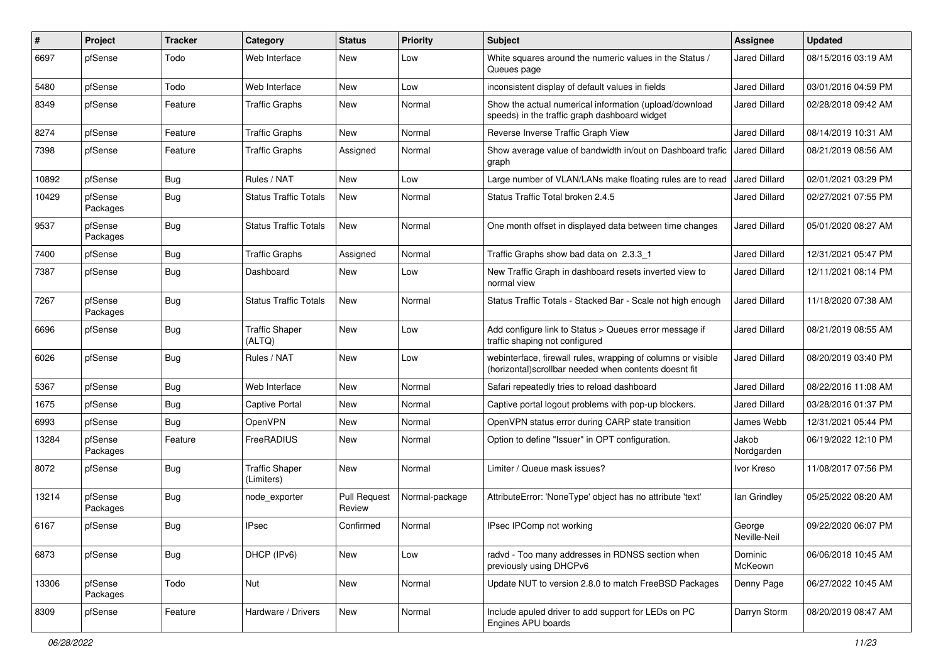| ∦     | Project             | <b>Tracker</b> | Category                            | <b>Status</b>                 | <b>Priority</b> | <b>Subject</b>                                                                                                         | <b>Assignee</b>        | <b>Updated</b>      |
|-------|---------------------|----------------|-------------------------------------|-------------------------------|-----------------|------------------------------------------------------------------------------------------------------------------------|------------------------|---------------------|
| 6697  | pfSense             | Todo           | Web Interface                       | New                           | Low             | White squares around the numeric values in the Status /<br>Queues page                                                 | Jared Dillard          | 08/15/2016 03:19 AM |
| 5480  | pfSense             | Todo           | Web Interface                       | New                           | Low             | inconsistent display of default values in fields                                                                       | <b>Jared Dillard</b>   | 03/01/2016 04:59 PM |
| 8349  | pfSense             | Feature        | <b>Traffic Graphs</b>               | New                           | Normal          | Show the actual numerical information (upload/download<br>speeds) in the traffic graph dashboard widget                | <b>Jared Dillard</b>   | 02/28/2018 09:42 AM |
| 8274  | pfSense             | Feature        | <b>Traffic Graphs</b>               | New                           | Normal          | Reverse Inverse Traffic Graph View                                                                                     | <b>Jared Dillard</b>   | 08/14/2019 10:31 AM |
| 7398  | pfSense             | Feature        | <b>Traffic Graphs</b>               | Assigned                      | Normal          | Show average value of bandwidth in/out on Dashboard trafic<br>graph                                                    | Jared Dillard          | 08/21/2019 08:56 AM |
| 10892 | pfSense             | Bug            | Rules / NAT                         | New                           | Low             | Large number of VLAN/LANs make floating rules are to read                                                              | <b>Jared Dillard</b>   | 02/01/2021 03:29 PM |
| 10429 | pfSense<br>Packages | Bug            | <b>Status Traffic Totals</b>        | New                           | Normal          | Status Traffic Total broken 2.4.5                                                                                      | Jared Dillard          | 02/27/2021 07:55 PM |
| 9537  | pfSense<br>Packages | Bug            | <b>Status Traffic Totals</b>        | <b>New</b>                    | Normal          | One month offset in displayed data between time changes                                                                | <b>Jared Dillard</b>   | 05/01/2020 08:27 AM |
| 7400  | pfSense             | Bug            | <b>Traffic Graphs</b>               | Assigned                      | Normal          | Traffic Graphs show bad data on 2.3.3 1                                                                                | <b>Jared Dillard</b>   | 12/31/2021 05:47 PM |
| 7387  | pfSense             | Bug            | Dashboard                           | New                           | Low             | New Traffic Graph in dashboard resets inverted view to<br>normal view                                                  | <b>Jared Dillard</b>   | 12/11/2021 08:14 PM |
| 7267  | pfSense<br>Packages | Bug            | <b>Status Traffic Totals</b>        | New                           | Normal          | Status Traffic Totals - Stacked Bar - Scale not high enough                                                            | <b>Jared Dillard</b>   | 11/18/2020 07:38 AM |
| 6696  | pfSense             | Bug            | <b>Traffic Shaper</b><br>(ALTQ)     | <b>New</b>                    | Low             | Add configure link to Status > Queues error message if<br>traffic shaping not configured                               | Jared Dillard          | 08/21/2019 08:55 AM |
| 6026  | pfSense             | Bug            | Rules / NAT                         | New                           | Low             | webinterface, firewall rules, wrapping of columns or visible<br>(horizontal) scrollbar needed when contents doesnt fit | <b>Jared Dillard</b>   | 08/20/2019 03:40 PM |
| 5367  | pfSense             | Bug            | Web Interface                       | <b>New</b>                    | Normal          | Safari repeatedly tries to reload dashboard                                                                            | <b>Jared Dillard</b>   | 08/22/2016 11:08 AM |
| 1675  | pfSense             | Bug            | <b>Captive Portal</b>               | New                           | Normal          | Captive portal logout problems with pop-up blockers.                                                                   | <b>Jared Dillard</b>   | 03/28/2016 01:37 PM |
| 6993  | pfSense             | Bug            | OpenVPN                             | New                           | Normal          | OpenVPN status error during CARP state transition                                                                      | James Webb             | 12/31/2021 05:44 PM |
| 13284 | pfSense<br>Packages | Feature        | FreeRADIUS                          | New                           | Normal          | Option to define "Issuer" in OPT configuration.                                                                        | Jakob<br>Nordgarden    | 06/19/2022 12:10 PM |
| 8072  | pfSense             | <b>Bug</b>     | <b>Traffic Shaper</b><br>(Limiters) | New                           | Normal          | Limiter / Queue mask issues?                                                                                           | Ivor Kreso             | 11/08/2017 07:56 PM |
| 13214 | pfSense<br>Packages | Bug            | node exporter                       | <b>Pull Request</b><br>Review | Normal-package  | AttributeError: 'NoneType' object has no attribute 'text'                                                              | lan Grindley           | 05/25/2022 08:20 AM |
| 6167  | pfSense             | Bug            | <b>IPsec</b>                        | Confirmed                     | Normal          | IPsec IPComp not working                                                                                               | George<br>Neville-Neil | 09/22/2020 06:07 PM |
| 6873  | pfSense             | Bug            | DHCP (IPv6)                         | New                           | Low             | radvd - Too many addresses in RDNSS section when<br>previously using DHCPv6                                            | Dominic<br>McKeown     | 06/06/2018 10:45 AM |
| 13306 | pfSense<br>Packages | Todo           | Nut                                 | New                           | Normal          | Update NUT to version 2.8.0 to match FreeBSD Packages                                                                  | Denny Page             | 06/27/2022 10:45 AM |
| 8309  | pfSense             | Feature        | Hardware / Drivers                  | New                           | Normal          | Include apuled driver to add support for LEDs on PC<br>Engines APU boards                                              | Darryn Storm           | 08/20/2019 08:47 AM |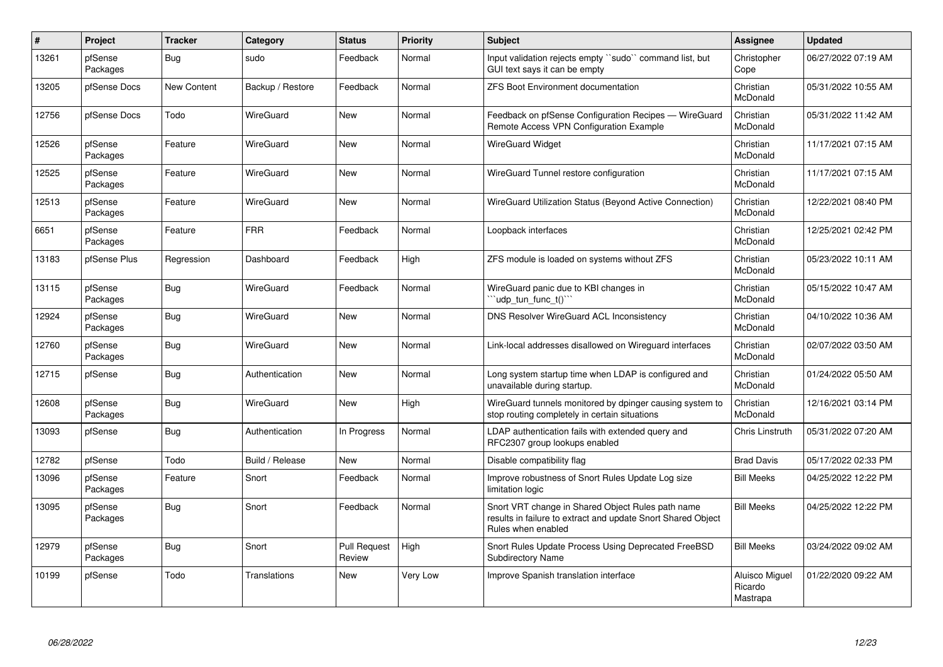| $\vert$ # | Project             | <b>Tracker</b> | Category         | <b>Status</b>          | <b>Priority</b> | <b>Subject</b>                                                                                                                          | <b>Assignee</b>                       | <b>Updated</b>      |
|-----------|---------------------|----------------|------------------|------------------------|-----------------|-----------------------------------------------------------------------------------------------------------------------------------------|---------------------------------------|---------------------|
| 13261     | pfSense<br>Packages | Bug            | sudo             | Feedback               | Normal          | Input validation rejects empty "sudo" command list, but<br>GUI text says it can be empty                                                | Christopher<br>Cope                   | 06/27/2022 07:19 AM |
| 13205     | pfSense Docs        | New Content    | Backup / Restore | Feedback               | Normal          | <b>ZFS Boot Environment documentation</b>                                                                                               | Christian<br>McDonald                 | 05/31/2022 10:55 AM |
| 12756     | pfSense Docs        | Todo           | WireGuard        | <b>New</b>             | Normal          | Feedback on pfSense Configuration Recipes - WireGuard<br>Remote Access VPN Configuration Example                                        | Christian<br>McDonald                 | 05/31/2022 11:42 AM |
| 12526     | pfSense<br>Packages | Feature        | WireGuard        | <b>New</b>             | Normal          | <b>WireGuard Widget</b>                                                                                                                 | Christian<br>McDonald                 | 11/17/2021 07:15 AM |
| 12525     | pfSense<br>Packages | Feature        | WireGuard        | New                    | Normal          | WireGuard Tunnel restore configuration                                                                                                  | Christian<br>McDonald                 | 11/17/2021 07:15 AM |
| 12513     | pfSense<br>Packages | Feature        | WireGuard        | New                    | Normal          | WireGuard Utilization Status (Beyond Active Connection)                                                                                 | Christian<br>McDonald                 | 12/22/2021 08:40 PM |
| 6651      | pfSense<br>Packages | Feature        | <b>FRR</b>       | Feedback               | Normal          | Loopback interfaces                                                                                                                     | Christian<br>McDonald                 | 12/25/2021 02:42 PM |
| 13183     | pfSense Plus        | Regression     | Dashboard        | Feedback               | High            | ZFS module is loaded on systems without ZFS                                                                                             | Christian<br>McDonald                 | 05/23/2022 10:11 AM |
| 13115     | pfSense<br>Packages | <b>Bug</b>     | WireGuard        | Feedback               | Normal          | WireGuard panic due to KBI changes in<br>"udp tun func t()"                                                                             | Christian<br><b>McDonald</b>          | 05/15/2022 10:47 AM |
| 12924     | pfSense<br>Packages | Bug            | WireGuard        | <b>New</b>             | Normal          | DNS Resolver WireGuard ACL Inconsistency                                                                                                | Christian<br>McDonald                 | 04/10/2022 10:36 AM |
| 12760     | pfSense<br>Packages | Bug            | WireGuard        | <b>New</b>             | Normal          | Link-local addresses disallowed on Wirequard interfaces                                                                                 | Christian<br>McDonald                 | 02/07/2022 03:50 AM |
| 12715     | pfSense             | <b>Bug</b>     | Authentication   | <b>New</b>             | Normal          | Long system startup time when LDAP is configured and<br>unavailable during startup.                                                     | Christian<br>McDonald                 | 01/24/2022 05:50 AM |
| 12608     | pfSense<br>Packages | <b>Bug</b>     | WireGuard        | <b>New</b>             | High            | WireGuard tunnels monitored by dpinger causing system to<br>stop routing completely in certain situations                               | Christian<br>McDonald                 | 12/16/2021 03:14 PM |
| 13093     | pfSense             | Bug            | Authentication   | In Progress            | Normal          | LDAP authentication fails with extended query and<br>RFC2307 group lookups enabled                                                      | Chris Linstruth                       | 05/31/2022 07:20 AM |
| 12782     | pfSense             | Todo           | Build / Release  | <b>New</b>             | Normal          | Disable compatibility flag                                                                                                              | <b>Brad Davis</b>                     | 05/17/2022 02:33 PM |
| 13096     | pfSense<br>Packages | Feature        | Snort            | Feedback               | Normal          | Improve robustness of Snort Rules Update Log size<br>limitation logic                                                                   | <b>Bill Meeks</b>                     | 04/25/2022 12:22 PM |
| 13095     | pfSense<br>Packages | Bug            | Snort            | Feedback               | Normal          | Snort VRT change in Shared Object Rules path name<br>results in failure to extract and update Snort Shared Object<br>Rules when enabled | <b>Bill Meeks</b>                     | 04/25/2022 12:22 PM |
| 12979     | pfSense<br>Packages | Bug            | Snort            | Pull Request<br>Review | High            | Snort Rules Update Process Using Deprecated FreeBSD<br>Subdirectory Name                                                                | <b>Bill Meeks</b>                     | 03/24/2022 09:02 AM |
| 10199     | pfSense             | Todo           | Translations     | New                    | Very Low        | Improve Spanish translation interface                                                                                                   | Aluisco Miguel<br>Ricardo<br>Mastrapa | 01/22/2020 09:22 AM |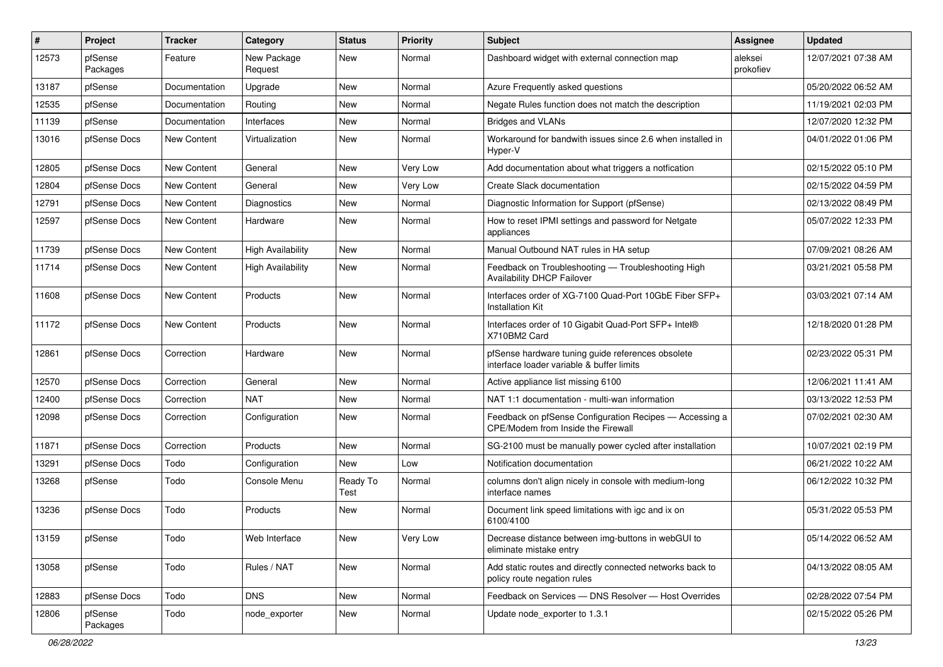| #     | Project             | <b>Tracker</b>     | Category                 | <b>Status</b>    | <b>Priority</b> | <b>Subject</b>                                                                                 | <b>Assignee</b>      | <b>Updated</b>      |
|-------|---------------------|--------------------|--------------------------|------------------|-----------------|------------------------------------------------------------------------------------------------|----------------------|---------------------|
| 12573 | pfSense<br>Packages | Feature            | New Package<br>Request   | New              | Normal          | Dashboard widget with external connection map                                                  | aleksei<br>prokofiev | 12/07/2021 07:38 AM |
| 13187 | pfSense             | Documentation      | Upgrade                  | New              | Normal          | Azure Frequently asked questions                                                               |                      | 05/20/2022 06:52 AM |
| 12535 | pfSense             | Documentation      | Routing                  | <b>New</b>       | Normal          | Negate Rules function does not match the description                                           |                      | 11/19/2021 02:03 PM |
| 11139 | pfSense             | Documentation      | Interfaces               | <b>New</b>       | Normal          | <b>Bridges and VLANs</b>                                                                       |                      | 12/07/2020 12:32 PM |
| 13016 | pfSense Docs        | New Content        | Virtualization           | New              | Normal          | Workaround for bandwith issues since 2.6 when installed in<br>Hyper-V                          |                      | 04/01/2022 01:06 PM |
| 12805 | pfSense Docs        | New Content        | General                  | New              | Very Low        | Add documentation about what triggers a notfication                                            |                      | 02/15/2022 05:10 PM |
| 12804 | pfSense Docs        | <b>New Content</b> | General                  | <b>New</b>       | Very Low        | Create Slack documentation                                                                     |                      | 02/15/2022 04:59 PM |
| 12791 | pfSense Docs        | <b>New Content</b> | Diagnostics              | <b>New</b>       | Normal          | Diagnostic Information for Support (pfSense)                                                   |                      | 02/13/2022 08:49 PM |
| 12597 | pfSense Docs        | New Content        | Hardware                 | New              | Normal          | How to reset IPMI settings and password for Netgate<br>appliances                              |                      | 05/07/2022 12:33 PM |
| 11739 | pfSense Docs        | New Content        | <b>High Availability</b> | <b>New</b>       | Normal          | Manual Outbound NAT rules in HA setup                                                          |                      | 07/09/2021 08:26 AM |
| 11714 | pfSense Docs        | New Content        | <b>High Availability</b> | New              | Normal          | Feedback on Troubleshooting - Troubleshooting High<br>Availability DHCP Failover               |                      | 03/21/2021 05:58 PM |
| 11608 | pfSense Docs        | New Content        | Products                 | New              | Normal          | Interfaces order of XG-7100 Quad-Port 10GbE Fiber SFP+<br><b>Installation Kit</b>              |                      | 03/03/2021 07:14 AM |
| 11172 | pfSense Docs        | New Content        | Products                 | New              | Normal          | Interfaces order of 10 Gigabit Quad-Port SFP+ Intel®<br>X710BM2 Card                           |                      | 12/18/2020 01:28 PM |
| 12861 | pfSense Docs        | Correction         | Hardware                 | New              | Normal          | pfSense hardware tuning guide references obsolete<br>interface loader variable & buffer limits |                      | 02/23/2022 05:31 PM |
| 12570 | pfSense Docs        | Correction         | General                  | New              | Normal          | Active appliance list missing 6100                                                             |                      | 12/06/2021 11:41 AM |
| 12400 | pfSense Docs        | Correction         | <b>NAT</b>               | <b>New</b>       | Normal          | NAT 1:1 documentation - multi-wan information                                                  |                      | 03/13/2022 12:53 PM |
| 12098 | pfSense Docs        | Correction         | Configuration            | New              | Normal          | Feedback on pfSense Configuration Recipes - Accessing a<br>CPE/Modem from Inside the Firewall  |                      | 07/02/2021 02:30 AM |
| 11871 | pfSense Docs        | Correction         | Products                 | <b>New</b>       | Normal          | SG-2100 must be manually power cycled after installation                                       |                      | 10/07/2021 02:19 PM |
| 13291 | pfSense Docs        | Todo               | Configuration            | New              | Low             | Notification documentation                                                                     |                      | 06/21/2022 10:22 AM |
| 13268 | pfSense             | Todo               | Console Menu             | Ready To<br>Test | Normal          | columns don't align nicely in console with medium-long<br>interface names                      |                      | 06/12/2022 10:32 PM |
| 13236 | pfSense Docs        | Todo               | Products                 | <b>New</b>       | Normal          | Document link speed limitations with igc and ix on<br>6100/4100                                |                      | 05/31/2022 05:53 PM |
| 13159 | pfSense             | Todo               | Web Interface            | New              | Very Low        | Decrease distance between img-buttons in webGUI to<br>eliminate mistake entry                  |                      | 05/14/2022 06:52 AM |
| 13058 | pfSense             | Todo               | Rules / NAT              | New              | Normal          | Add static routes and directly connected networks back to<br>policy route negation rules       |                      | 04/13/2022 08:05 AM |
| 12883 | pfSense Docs        | Todo               | <b>DNS</b>               | New              | Normal          | Feedback on Services - DNS Resolver - Host Overrides                                           |                      | 02/28/2022 07:54 PM |
| 12806 | pfSense<br>Packages | Todo               | node_exporter            | New              | Normal          | Update node exporter to 1.3.1                                                                  |                      | 02/15/2022 05:26 PM |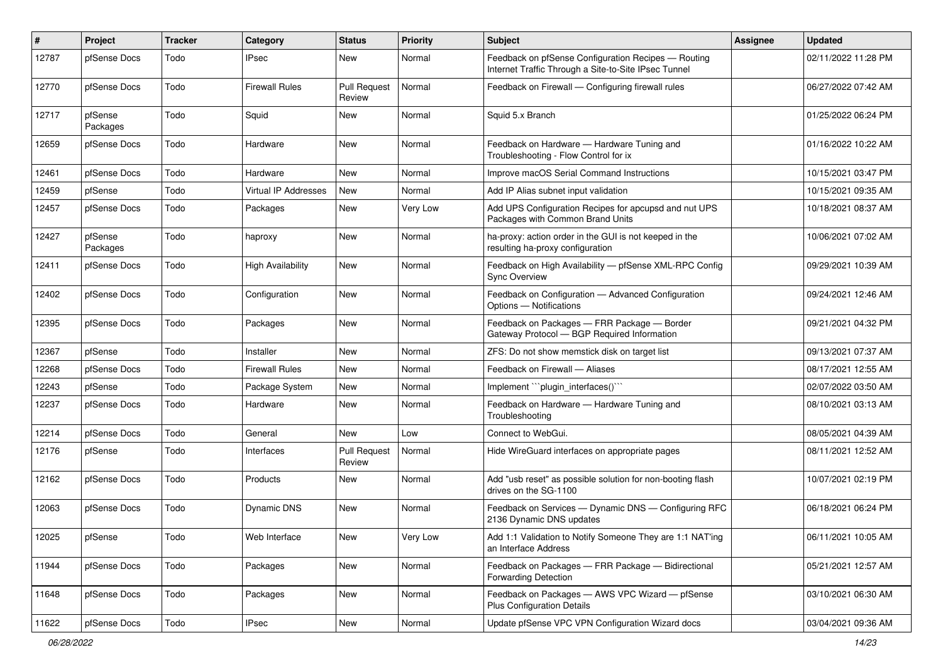| #     | Project             | Tracker | Category                    | <b>Status</b>                 | <b>Priority</b> | Subject                                                                                                     | Assignee | <b>Updated</b>      |
|-------|---------------------|---------|-----------------------------|-------------------------------|-----------------|-------------------------------------------------------------------------------------------------------------|----------|---------------------|
| 12787 | pfSense Docs        | Todo    | <b>IPsec</b>                | New                           | Normal          | Feedback on pfSense Configuration Recipes - Routing<br>Internet Traffic Through a Site-to-Site IPsec Tunnel |          | 02/11/2022 11:28 PM |
| 12770 | pfSense Docs        | Todo    | <b>Firewall Rules</b>       | <b>Pull Request</b><br>Review | Normal          | Feedback on Firewall - Configuring firewall rules                                                           |          | 06/27/2022 07:42 AM |
| 12717 | pfSense<br>Packages | Todo    | Squid                       | <b>New</b>                    | Normal          | Squid 5.x Branch                                                                                            |          | 01/25/2022 06:24 PM |
| 12659 | pfSense Docs        | Todo    | Hardware                    | <b>New</b>                    | Normal          | Feedback on Hardware - Hardware Tuning and<br>Troubleshooting - Flow Control for ix                         |          | 01/16/2022 10:22 AM |
| 12461 | pfSense Docs        | Todo    | Hardware                    | <b>New</b>                    | Normal          | Improve macOS Serial Command Instructions                                                                   |          | 10/15/2021 03:47 PM |
| 12459 | pfSense             | Todo    | <b>Virtual IP Addresses</b> | <b>New</b>                    | Normal          | Add IP Alias subnet input validation                                                                        |          | 10/15/2021 09:35 AM |
| 12457 | pfSense Docs        | Todo    | Packages                    | <b>New</b>                    | Very Low        | Add UPS Configuration Recipes for apcupsd and nut UPS<br>Packages with Common Brand Units                   |          | 10/18/2021 08:37 AM |
| 12427 | pfSense<br>Packages | Todo    | haproxy                     | <b>New</b>                    | Normal          | ha-proxy: action order in the GUI is not keeped in the<br>resulting ha-proxy configuration                  |          | 10/06/2021 07:02 AM |
| 12411 | pfSense Docs        | Todo    | <b>High Availability</b>    | <b>New</b>                    | Normal          | Feedback on High Availability - pfSense XML-RPC Config<br><b>Sync Overview</b>                              |          | 09/29/2021 10:39 AM |
| 12402 | pfSense Docs        | Todo    | Configuration               | <b>New</b>                    | Normal          | Feedback on Configuration - Advanced Configuration<br>Options - Notifications                               |          | 09/24/2021 12:46 AM |
| 12395 | pfSense Docs        | Todo    | Packages                    | <b>New</b>                    | Normal          | Feedback on Packages - FRR Package - Border<br>Gateway Protocol - BGP Required Information                  |          | 09/21/2021 04:32 PM |
| 12367 | pfSense             | Todo    | Installer                   | <b>New</b>                    | Normal          | ZFS: Do not show memstick disk on target list                                                               |          | 09/13/2021 07:37 AM |
| 12268 | pfSense Docs        | Todo    | <b>Firewall Rules</b>       | <b>New</b>                    | Normal          | Feedback on Firewall - Aliases                                                                              |          | 08/17/2021 12:55 AM |
| 12243 | pfSense             | Todo    | Package System              | New                           | Normal          | Implement "`plugin_interfaces()``                                                                           |          | 02/07/2022 03:50 AM |
| 12237 | pfSense Docs        | Todo    | Hardware                    | <b>New</b>                    | Normal          | Feedback on Hardware - Hardware Tuning and<br>Troubleshooting                                               |          | 08/10/2021 03:13 AM |
| 12214 | pfSense Docs        | Todo    | General                     | New                           | Low             | Connect to WebGui.                                                                                          |          | 08/05/2021 04:39 AM |
| 12176 | pfSense             | Todo    | Interfaces                  | <b>Pull Request</b><br>Review | Normal          | Hide WireGuard interfaces on appropriate pages                                                              |          | 08/11/2021 12:52 AM |
| 12162 | pfSense Docs        | Todo    | Products                    | <b>New</b>                    | Normal          | Add "usb reset" as possible solution for non-booting flash<br>drives on the SG-1100                         |          | 10/07/2021 02:19 PM |
| 12063 | pfSense Docs        | Todo    | Dynamic DNS                 | <b>New</b>                    | Normal          | Feedback on Services - Dynamic DNS - Configuring RFC<br>2136 Dynamic DNS updates                            |          | 06/18/2021 06:24 PM |
| 12025 | pfSense             | Todo    | Web Interface               | New                           | Very Low        | Add 1:1 Validation to Notify Someone They are 1:1 NAT'ing<br>an Interface Address                           |          | 06/11/2021 10:05 AM |
| 11944 | pfSense Docs        | Todo    | Packages                    | New                           | Normal          | Feedback on Packages - FRR Package - Bidirectional<br><b>Forwarding Detection</b>                           |          | 05/21/2021 12:57 AM |
| 11648 | pfSense Docs        | Todo    | Packages                    | New                           | Normal          | Feedback on Packages - AWS VPC Wizard - pfSense<br><b>Plus Configuration Details</b>                        |          | 03/10/2021 06:30 AM |
| 11622 | pfSense Docs        | Todo    | <b>IPsec</b>                | New                           | Normal          | Update pfSense VPC VPN Configuration Wizard docs                                                            |          | 03/04/2021 09:36 AM |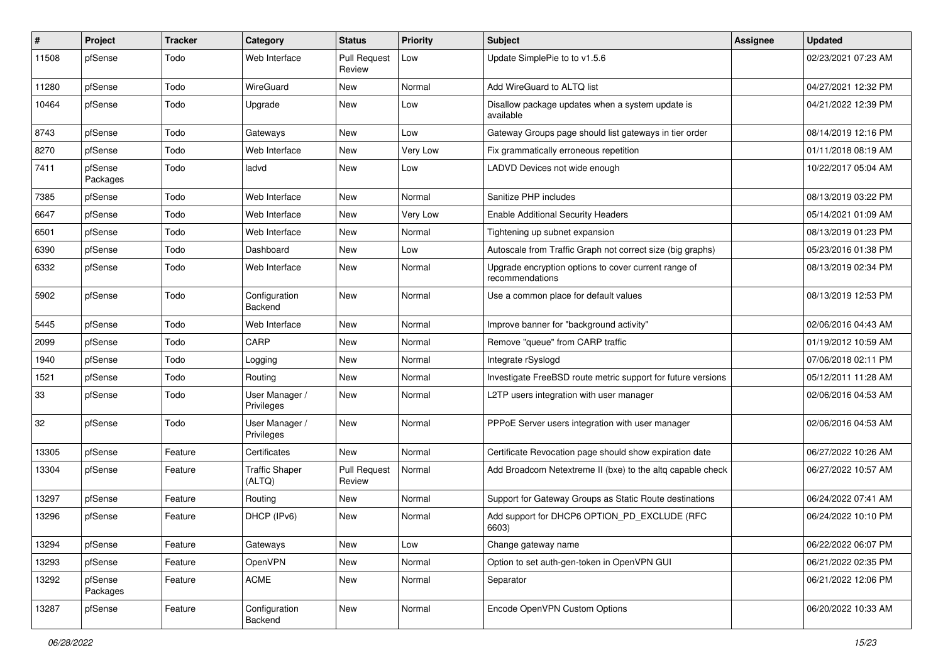| ∦     | Project             | <b>Tracker</b> | Category                        | <b>Status</b>                 | <b>Priority</b> | <b>Subject</b>                                                          | Assignee | <b>Updated</b>      |
|-------|---------------------|----------------|---------------------------------|-------------------------------|-----------------|-------------------------------------------------------------------------|----------|---------------------|
| 11508 | pfSense             | Todo           | Web Interface                   | <b>Pull Request</b><br>Review | Low             | Update SimplePie to to v1.5.6                                           |          | 02/23/2021 07:23 AM |
| 11280 | pfSense             | Todo           | WireGuard                       | New                           | Normal          | Add WireGuard to ALTQ list                                              |          | 04/27/2021 12:32 PM |
| 10464 | pfSense             | Todo           | Upgrade                         | New                           | Low             | Disallow package updates when a system update is<br>available           |          | 04/21/2022 12:39 PM |
| 8743  | pfSense             | Todo           | Gateways                        | New                           | Low             | Gateway Groups page should list gateways in tier order                  |          | 08/14/2019 12:16 PM |
| 8270  | pfSense             | Todo           | Web Interface                   | <b>New</b>                    | Very Low        | Fix grammatically erroneous repetition                                  |          | 01/11/2018 08:19 AM |
| 7411  | pfSense<br>Packages | Todo           | ladvd                           | New                           | Low             | LADVD Devices not wide enough                                           |          | 10/22/2017 05:04 AM |
| 7385  | pfSense             | Todo           | Web Interface                   | <b>New</b>                    | Normal          | Sanitize PHP includes                                                   |          | 08/13/2019 03:22 PM |
| 6647  | pfSense             | Todo           | Web Interface                   | <b>New</b>                    | Very Low        | <b>Enable Additional Security Headers</b>                               |          | 05/14/2021 01:09 AM |
| 6501  | pfSense             | Todo           | Web Interface                   | New                           | Normal          | Tightening up subnet expansion                                          |          | 08/13/2019 01:23 PM |
| 6390  | pfSense             | Todo           | Dashboard                       | <b>New</b>                    | Low             | Autoscale from Traffic Graph not correct size (big graphs)              |          | 05/23/2016 01:38 PM |
| 6332  | pfSense             | Todo           | Web Interface                   | New                           | Normal          | Upgrade encryption options to cover current range of<br>recommendations |          | 08/13/2019 02:34 PM |
| 5902  | pfSense             | Todo           | Configuration<br>Backend        | New                           | Normal          | Use a common place for default values                                   |          | 08/13/2019 12:53 PM |
| 5445  | pfSense             | Todo           | Web Interface                   | <b>New</b>                    | Normal          | Improve banner for "background activity"                                |          | 02/06/2016 04:43 AM |
| 2099  | pfSense             | Todo           | CARP                            | New                           | Normal          | Remove "queue" from CARP traffic                                        |          | 01/19/2012 10:59 AM |
| 1940  | pfSense             | Todo           | Logging                         | New                           | Normal          | Integrate rSyslogd                                                      |          | 07/06/2018 02:11 PM |
| 1521  | pfSense             | Todo           | Routing                         | <b>New</b>                    | Normal          | Investigate FreeBSD route metric support for future versions            |          | 05/12/2011 11:28 AM |
| 33    | pfSense             | Todo           | User Manager /<br>Privileges    | New                           | Normal          | L2TP users integration with user manager                                |          | 02/06/2016 04:53 AM |
| 32    | pfSense             | Todo           | User Manager /<br>Privileges    | New                           | Normal          | PPPoE Server users integration with user manager                        |          | 02/06/2016 04:53 AM |
| 13305 | pfSense             | Feature        | Certificates                    | <b>New</b>                    | Normal          | Certificate Revocation page should show expiration date                 |          | 06/27/2022 10:26 AM |
| 13304 | pfSense             | Feature        | <b>Traffic Shaper</b><br>(ALTQ) | <b>Pull Request</b><br>Review | Normal          | Add Broadcom Netextreme II (bxe) to the altq capable check              |          | 06/27/2022 10:57 AM |
| 13297 | pfSense             | Feature        | Routing                         | New                           | Normal          | Support for Gateway Groups as Static Route destinations                 |          | 06/24/2022 07:41 AM |
| 13296 | pfSense             | Feature        | DHCP (IPv6)                     | New                           | Normal          | Add support for DHCP6 OPTION_PD_EXCLUDE (RFC<br>6603)                   |          | 06/24/2022 10:10 PM |
| 13294 | pfSense             | Feature        | Gateways                        | New                           | Low             | Change gateway name                                                     |          | 06/22/2022 06:07 PM |
| 13293 | pfSense             | Feature        | OpenVPN                         | New                           | Normal          | Option to set auth-gen-token in OpenVPN GUI                             |          | 06/21/2022 02:35 PM |
| 13292 | pfSense<br>Packages | Feature        | ACME                            | New                           | Normal          | Separator                                                               |          | 06/21/2022 12:06 PM |
| 13287 | pfSense             | Feature        | Configuration<br>Backend        | New                           | Normal          | Encode OpenVPN Custom Options                                           |          | 06/20/2022 10:33 AM |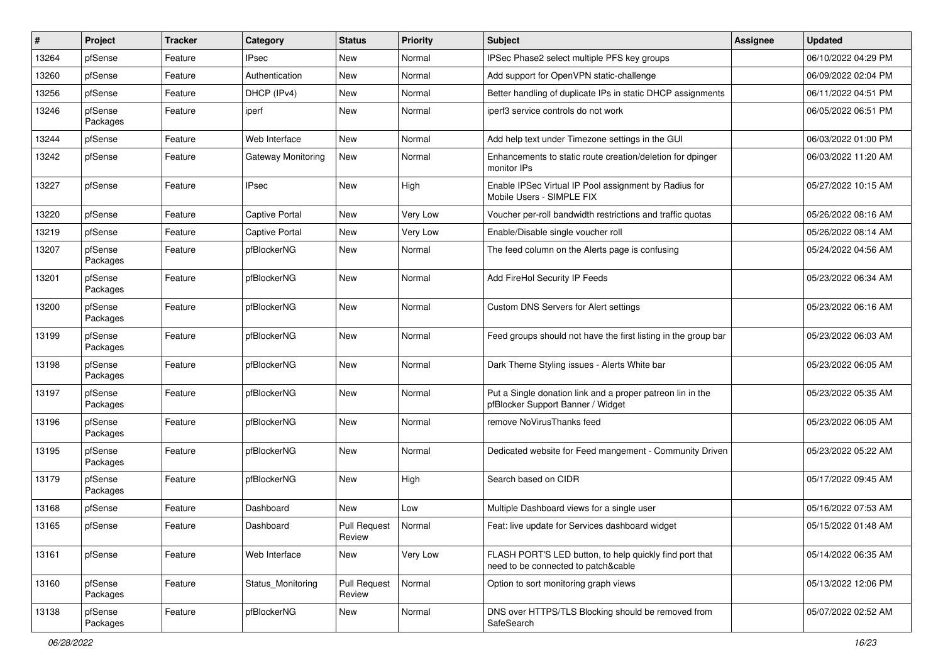| #     | Project             | <b>Tracker</b> | Category                  | <b>Status</b>                 | <b>Priority</b> | Subject                                                                                         | <b>Assignee</b> | <b>Updated</b>      |
|-------|---------------------|----------------|---------------------------|-------------------------------|-----------------|-------------------------------------------------------------------------------------------------|-----------------|---------------------|
| 13264 | pfSense             | Feature        | IPsec                     | New                           | Normal          | IPSec Phase2 select multiple PFS key groups                                                     |                 | 06/10/2022 04:29 PM |
| 13260 | pfSense             | Feature        | Authentication            | <b>New</b>                    | Normal          | Add support for OpenVPN static-challenge                                                        |                 | 06/09/2022 02:04 PM |
| 13256 | pfSense             | Feature        | DHCP (IPv4)               | New                           | Normal          | Better handling of duplicate IPs in static DHCP assignments                                     |                 | 06/11/2022 04:51 PM |
| 13246 | pfSense<br>Packages | Feature        | iperf                     | <b>New</b>                    | Normal          | iperf3 service controls do not work                                                             |                 | 06/05/2022 06:51 PM |
| 13244 | pfSense             | Feature        | Web Interface             | <b>New</b>                    | Normal          | Add help text under Timezone settings in the GUI                                                |                 | 06/03/2022 01:00 PM |
| 13242 | pfSense             | Feature        | <b>Gateway Monitoring</b> | New                           | Normal          | Enhancements to static route creation/deletion for dpinger<br>monitor IPs                       |                 | 06/03/2022 11:20 AM |
| 13227 | pfSense             | Feature        | <b>IPsec</b>              | <b>New</b>                    | High            | Enable IPSec Virtual IP Pool assignment by Radius for<br>Mobile Users - SIMPLE FIX              |                 | 05/27/2022 10:15 AM |
| 13220 | pfSense             | Feature        | <b>Captive Portal</b>     | <b>New</b>                    | Very Low        | Voucher per-roll bandwidth restrictions and traffic quotas                                      |                 | 05/26/2022 08:16 AM |
| 13219 | pfSense             | Feature        | <b>Captive Portal</b>     | New                           | Very Low        | Enable/Disable single voucher roll                                                              |                 | 05/26/2022 08:14 AM |
| 13207 | pfSense<br>Packages | Feature        | pfBlockerNG               | New                           | Normal          | The feed column on the Alerts page is confusing                                                 |                 | 05/24/2022 04:56 AM |
| 13201 | pfSense<br>Packages | Feature        | pfBlockerNG               | <b>New</b>                    | Normal          | Add FireHol Security IP Feeds                                                                   |                 | 05/23/2022 06:34 AM |
| 13200 | pfSense<br>Packages | Feature        | pfBlockerNG               | <b>New</b>                    | Normal          | <b>Custom DNS Servers for Alert settings</b>                                                    |                 | 05/23/2022 06:16 AM |
| 13199 | pfSense<br>Packages | Feature        | pfBlockerNG               | New                           | Normal          | Feed groups should not have the first listing in the group bar                                  |                 | 05/23/2022 06:03 AM |
| 13198 | pfSense<br>Packages | Feature        | pfBlockerNG               | New                           | Normal          | Dark Theme Styling issues - Alerts White bar                                                    |                 | 05/23/2022 06:05 AM |
| 13197 | pfSense<br>Packages | Feature        | pfBlockerNG               | New                           | Normal          | Put a Single donation link and a proper patreon lin in the<br>pfBlocker Support Banner / Widget |                 | 05/23/2022 05:35 AM |
| 13196 | pfSense<br>Packages | Feature        | pfBlockerNG               | New                           | Normal          | remove NoVirusThanks feed                                                                       |                 | 05/23/2022 06:05 AM |
| 13195 | pfSense<br>Packages | Feature        | pfBlockerNG               | New                           | Normal          | Dedicated website for Feed mangement - Community Driven                                         |                 | 05/23/2022 05:22 AM |
| 13179 | pfSense<br>Packages | Feature        | pfBlockerNG               | New                           | High            | Search based on CIDR                                                                            |                 | 05/17/2022 09:45 AM |
| 13168 | pfSense             | Feature        | Dashboard                 | New                           | Low             | Multiple Dashboard views for a single user                                                      |                 | 05/16/2022 07:53 AM |
| 13165 | pfSense             | Feature        | Dashboard                 | <b>Pull Request</b><br>Review | Normal          | Feat: live update for Services dashboard widget                                                 |                 | 05/15/2022 01:48 AM |
| 13161 | pfSense             | Feature        | Web Interface             | New                           | Very Low        | FLASH PORT'S LED button, to help quickly find port that<br>need to be connected to patch&cable  |                 | 05/14/2022 06:35 AM |
| 13160 | pfSense<br>Packages | Feature        | Status Monitoring         | Pull Request<br>Review        | Normal          | Option to sort monitoring graph views                                                           |                 | 05/13/2022 12:06 PM |
| 13138 | pfSense<br>Packages | Feature        | pfBlockerNG               | New                           | Normal          | DNS over HTTPS/TLS Blocking should be removed from<br>SafeSearch                                |                 | 05/07/2022 02:52 AM |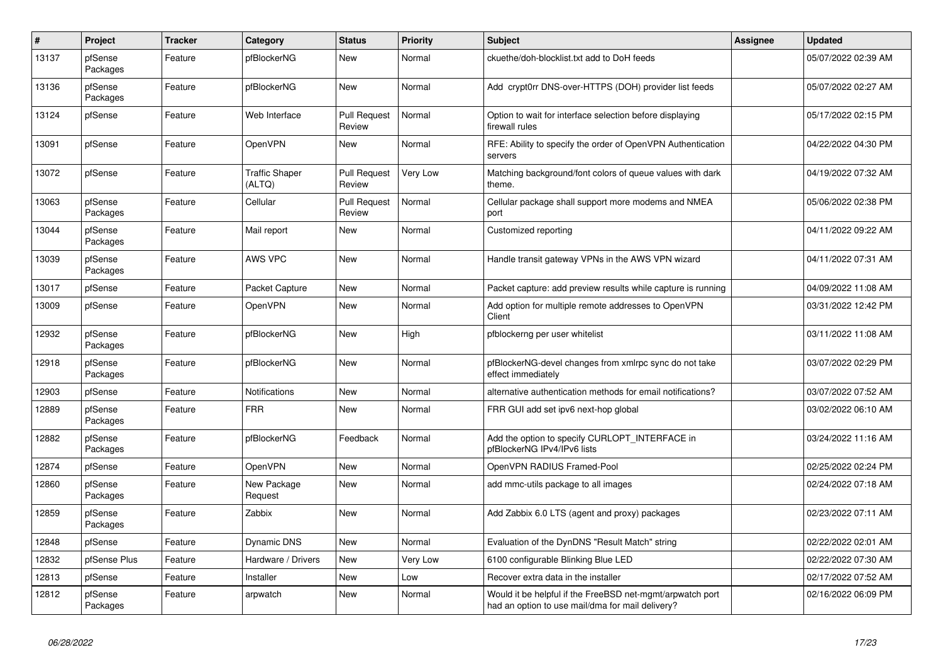| $\sharp$ | Project             | <b>Tracker</b> | Category                        | <b>Status</b>                 | <b>Priority</b> | <b>Subject</b>                                                                                                | Assignee | <b>Updated</b>      |
|----------|---------------------|----------------|---------------------------------|-------------------------------|-----------------|---------------------------------------------------------------------------------------------------------------|----------|---------------------|
| 13137    | pfSense<br>Packages | Feature        | pfBlockerNG                     | <b>New</b>                    | Normal          | ckuethe/doh-blocklist.txt add to DoH feeds                                                                    |          | 05/07/2022 02:39 AM |
| 13136    | pfSense<br>Packages | Feature        | pfBlockerNG                     | <b>New</b>                    | Normal          | Add crypt0rr DNS-over-HTTPS (DOH) provider list feeds                                                         |          | 05/07/2022 02:27 AM |
| 13124    | pfSense             | Feature        | Web Interface                   | <b>Pull Request</b><br>Review | Normal          | Option to wait for interface selection before displaying<br>firewall rules                                    |          | 05/17/2022 02:15 PM |
| 13091    | pfSense             | Feature        | <b>OpenVPN</b>                  | <b>New</b>                    | Normal          | RFE: Ability to specify the order of OpenVPN Authentication<br>servers                                        |          | 04/22/2022 04:30 PM |
| 13072    | pfSense             | Feature        | <b>Traffic Shaper</b><br>(ALTQ) | <b>Pull Request</b><br>Review | Very Low        | Matching background/font colors of queue values with dark<br>theme.                                           |          | 04/19/2022 07:32 AM |
| 13063    | pfSense<br>Packages | Feature        | Cellular                        | <b>Pull Request</b><br>Review | Normal          | Cellular package shall support more modems and NMEA<br>port                                                   |          | 05/06/2022 02:38 PM |
| 13044    | pfSense<br>Packages | Feature        | Mail report                     | New                           | Normal          | Customized reporting                                                                                          |          | 04/11/2022 09:22 AM |
| 13039    | pfSense<br>Packages | Feature        | <b>AWS VPC</b>                  | <b>New</b>                    | Normal          | Handle transit gateway VPNs in the AWS VPN wizard                                                             |          | 04/11/2022 07:31 AM |
| 13017    | pfSense             | Feature        | Packet Capture                  | <b>New</b>                    | Normal          | Packet capture: add preview results while capture is running                                                  |          | 04/09/2022 11:08 AM |
| 13009    | pfSense             | Feature        | <b>OpenVPN</b>                  | New                           | Normal          | Add option for multiple remote addresses to OpenVPN<br>Client                                                 |          | 03/31/2022 12:42 PM |
| 12932    | pfSense<br>Packages | Feature        | pfBlockerNG                     | <b>New</b>                    | High            | pfblockerng per user whitelist                                                                                |          | 03/11/2022 11:08 AM |
| 12918    | pfSense<br>Packages | Feature        | pfBlockerNG                     | <b>New</b>                    | Normal          | pfBlockerNG-devel changes from xmlrpc sync do not take<br>effect immediately                                  |          | 03/07/2022 02:29 PM |
| 12903    | pfSense             | Feature        | <b>Notifications</b>            | <b>New</b>                    | Normal          | alternative authentication methods for email notifications?                                                   |          | 03/07/2022 07:52 AM |
| 12889    | pfSense<br>Packages | Feature        | <b>FRR</b>                      | <b>New</b>                    | Normal          | FRR GUI add set ipv6 next-hop global                                                                          |          | 03/02/2022 06:10 AM |
| 12882    | pfSense<br>Packages | Feature        | pfBlockerNG                     | Feedback                      | Normal          | Add the option to specify CURLOPT INTERFACE in<br>pfBlockerNG IPv4/IPv6 lists                                 |          | 03/24/2022 11:16 AM |
| 12874    | pfSense             | Feature        | <b>OpenVPN</b>                  | <b>New</b>                    | Normal          | OpenVPN RADIUS Framed-Pool                                                                                    |          | 02/25/2022 02:24 PM |
| 12860    | pfSense<br>Packages | Feature        | New Package<br>Request          | <b>New</b>                    | Normal          | add mmc-utils package to all images                                                                           |          | 02/24/2022 07:18 AM |
| 12859    | pfSense<br>Packages | Feature        | Zabbix                          | New                           | Normal          | Add Zabbix 6.0 LTS (agent and proxy) packages                                                                 |          | 02/23/2022 07:11 AM |
| 12848    | pfSense             | Feature        | <b>Dynamic DNS</b>              | <b>New</b>                    | Normal          | Evaluation of the DynDNS "Result Match" string                                                                |          | 02/22/2022 02:01 AM |
| 12832    | pfSense Plus        | Feature        | Hardware / Drivers              | New                           | Very Low        | 6100 configurable Blinking Blue LED                                                                           |          | 02/22/2022 07:30 AM |
| 12813    | pfSense             | Feature        | Installer                       | <b>New</b>                    | Low             | Recover extra data in the installer                                                                           |          | 02/17/2022 07:52 AM |
| 12812    | pfSense<br>Packages | Feature        | arpwatch                        | New                           | Normal          | Would it be helpful if the FreeBSD net-mgmt/arpwatch port<br>had an option to use mail/dma for mail delivery? |          | 02/16/2022 06:09 PM |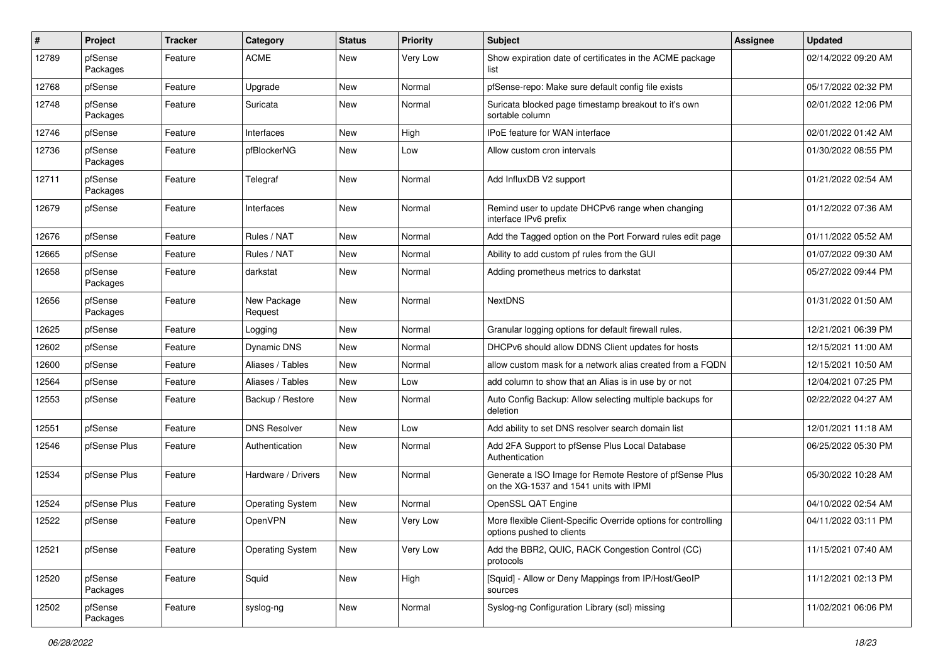| $\vert$ # | Project             | <b>Tracker</b> | Category                | <b>Status</b> | <b>Priority</b> | <b>Subject</b>                                                                                     | <b>Assignee</b> | <b>Updated</b>      |
|-----------|---------------------|----------------|-------------------------|---------------|-----------------|----------------------------------------------------------------------------------------------------|-----------------|---------------------|
| 12789     | pfSense<br>Packages | Feature        | <b>ACME</b>             | New           | Very Low        | Show expiration date of certificates in the ACME package<br>list                                   |                 | 02/14/2022 09:20 AM |
| 12768     | pfSense             | Feature        | Upgrade                 | <b>New</b>    | Normal          | pfSense-repo: Make sure default config file exists                                                 |                 | 05/17/2022 02:32 PM |
| 12748     | pfSense<br>Packages | Feature        | Suricata                | New           | Normal          | Suricata blocked page timestamp breakout to it's own<br>sortable column                            |                 | 02/01/2022 12:06 PM |
| 12746     | pfSense             | Feature        | Interfaces              | New           | High            | <b>IPoE</b> feature for WAN interface                                                              |                 | 02/01/2022 01:42 AM |
| 12736     | pfSense<br>Packages | Feature        | pfBlockerNG             | New           | Low             | Allow custom cron intervals                                                                        |                 | 01/30/2022 08:55 PM |
| 12711     | pfSense<br>Packages | Feature        | Telegraf                | New           | Normal          | Add InfluxDB V2 support                                                                            |                 | 01/21/2022 02:54 AM |
| 12679     | pfSense             | Feature        | Interfaces              | New           | Normal          | Remind user to update DHCPv6 range when changing<br>interface IPv6 prefix                          |                 | 01/12/2022 07:36 AM |
| 12676     | pfSense             | Feature        | Rules / NAT             | New           | Normal          | Add the Tagged option on the Port Forward rules edit page                                          |                 | 01/11/2022 05:52 AM |
| 12665     | pfSense             | Feature        | Rules / NAT             | <b>New</b>    | Normal          | Ability to add custom pf rules from the GUI                                                        |                 | 01/07/2022 09:30 AM |
| 12658     | pfSense<br>Packages | Feature        | darkstat                | New           | Normal          | Adding prometheus metrics to darkstat                                                              |                 | 05/27/2022 09:44 PM |
| 12656     | pfSense<br>Packages | Feature        | New Package<br>Request  | New           | Normal          | <b>NextDNS</b>                                                                                     |                 | 01/31/2022 01:50 AM |
| 12625     | pfSense             | Feature        | Logging                 | New           | Normal          | Granular logging options for default firewall rules.                                               |                 | 12/21/2021 06:39 PM |
| 12602     | pfSense             | Feature        | <b>Dynamic DNS</b>      | <b>New</b>    | Normal          | DHCPv6 should allow DDNS Client updates for hosts                                                  |                 | 12/15/2021 11:00 AM |
| 12600     | pfSense             | Feature        | Aliases / Tables        | <b>New</b>    | Normal          | allow custom mask for a network alias created from a FQDN                                          |                 | 12/15/2021 10:50 AM |
| 12564     | pfSense             | Feature        | Aliases / Tables        | New           | Low             | add column to show that an Alias is in use by or not                                               |                 | 12/04/2021 07:25 PM |
| 12553     | pfSense             | Feature        | Backup / Restore        | New           | Normal          | Auto Config Backup: Allow selecting multiple backups for<br>deletion                               |                 | 02/22/2022 04:27 AM |
| 12551     | pfSense             | Feature        | <b>DNS Resolver</b>     | New           | Low             | Add ability to set DNS resolver search domain list                                                 |                 | 12/01/2021 11:18 AM |
| 12546     | pfSense Plus        | Feature        | Authentication          | New           | Normal          | Add 2FA Support to pfSense Plus Local Database<br>Authentication                                   |                 | 06/25/2022 05:30 PM |
| 12534     | pfSense Plus        | Feature        | Hardware / Drivers      | <b>New</b>    | Normal          | Generate a ISO Image for Remote Restore of pfSense Plus<br>on the XG-1537 and 1541 units with IPMI |                 | 05/30/2022 10:28 AM |
| 12524     | pfSense Plus        | Feature        | <b>Operating System</b> | New           | Normal          | OpenSSL QAT Engine                                                                                 |                 | 04/10/2022 02:54 AM |
| 12522     | pfSense             | Feature        | OpenVPN                 | New           | Very Low        | More flexible Client-Specific Override options for controlling<br>options pushed to clients        |                 | 04/11/2022 03:11 PM |
| 12521     | pfSense             | Feature        | <b>Operating System</b> | New           | Very Low        | Add the BBR2, QUIC, RACK Congestion Control (CC)<br>protocols                                      |                 | 11/15/2021 07:40 AM |
| 12520     | pfSense<br>Packages | Feature        | Squid                   | New           | High            | [Squid] - Allow or Deny Mappings from IP/Host/GeoIP<br>sources                                     |                 | 11/12/2021 02:13 PM |
| 12502     | pfSense<br>Packages | Feature        | syslog-ng               | New           | Normal          | Syslog-ng Configuration Library (scl) missing                                                      |                 | 11/02/2021 06:06 PM |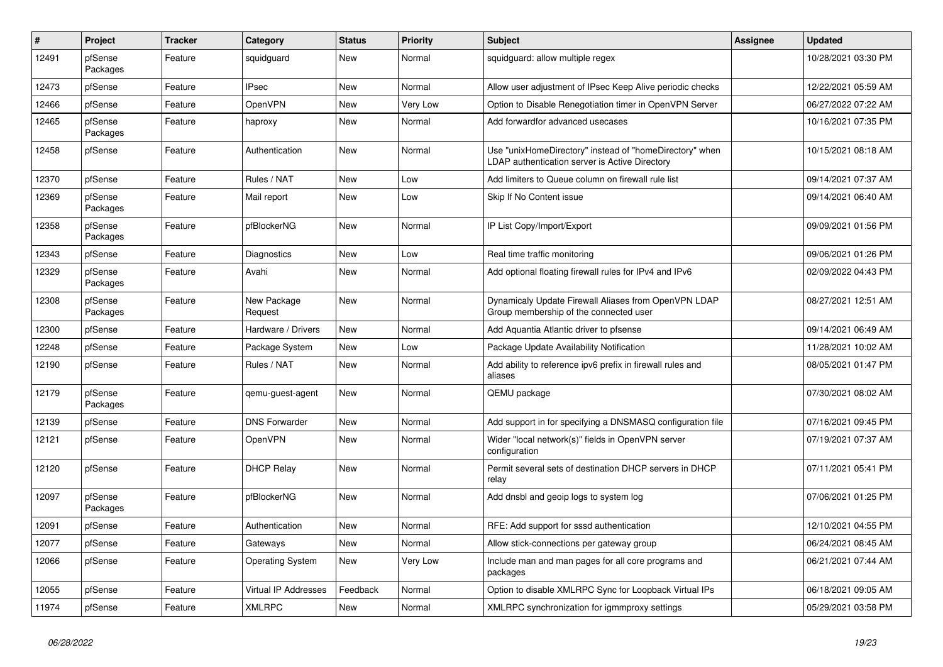| $\vert$ # | Project             | <b>Tracker</b> | Category                    | <b>Status</b> | <b>Priority</b> | <b>Subject</b>                                                                                            | Assignee | <b>Updated</b>      |
|-----------|---------------------|----------------|-----------------------------|---------------|-----------------|-----------------------------------------------------------------------------------------------------------|----------|---------------------|
| 12491     | pfSense<br>Packages | Feature        | squidguard                  | New           | Normal          | squidguard: allow multiple regex                                                                          |          | 10/28/2021 03:30 PM |
| 12473     | pfSense             | Feature        | <b>IPsec</b>                | <b>New</b>    | Normal          | Allow user adjustment of IPsec Keep Alive periodic checks                                                 |          | 12/22/2021 05:59 AM |
| 12466     | pfSense             | Feature        | OpenVPN                     | <b>New</b>    | Very Low        | Option to Disable Renegotiation timer in OpenVPN Server                                                   |          | 06/27/2022 07:22 AM |
| 12465     | pfSense<br>Packages | Feature        | haproxy                     | <b>New</b>    | Normal          | Add forwardfor advanced usecases                                                                          |          | 10/16/2021 07:35 PM |
| 12458     | pfSense             | Feature        | Authentication              | <b>New</b>    | Normal          | Use "unixHomeDirectory" instead of "homeDirectory" when<br>LDAP authentication server is Active Directory |          | 10/15/2021 08:18 AM |
| 12370     | pfSense             | Feature        | Rules / NAT                 | <b>New</b>    | Low             | Add limiters to Queue column on firewall rule list                                                        |          | 09/14/2021 07:37 AM |
| 12369     | pfSense<br>Packages | Feature        | Mail report                 | <b>New</b>    | Low             | Skip If No Content issue                                                                                  |          | 09/14/2021 06:40 AM |
| 12358     | pfSense<br>Packages | Feature        | pfBlockerNG                 | <b>New</b>    | Normal          | IP List Copy/Import/Export                                                                                |          | 09/09/2021 01:56 PM |
| 12343     | pfSense             | Feature        | Diagnostics                 | <b>New</b>    | Low             | Real time traffic monitoring                                                                              |          | 09/06/2021 01:26 PM |
| 12329     | pfSense<br>Packages | Feature        | Avahi                       | <b>New</b>    | Normal          | Add optional floating firewall rules for IPv4 and IPv6                                                    |          | 02/09/2022 04:43 PM |
| 12308     | pfSense<br>Packages | Feature        | New Package<br>Request      | <b>New</b>    | Normal          | Dynamicaly Update Firewall Aliases from OpenVPN LDAP<br>Group membership of the connected user            |          | 08/27/2021 12:51 AM |
| 12300     | pfSense             | Feature        | Hardware / Drivers          | <b>New</b>    | Normal          | Add Aquantia Atlantic driver to pfsense                                                                   |          | 09/14/2021 06:49 AM |
| 12248     | pfSense             | Feature        | Package System              | <b>New</b>    | Low             | Package Update Availability Notification                                                                  |          | 11/28/2021 10:02 AM |
| 12190     | pfSense             | Feature        | Rules / NAT                 | <b>New</b>    | Normal          | Add ability to reference ipv6 prefix in firewall rules and<br>aliases                                     |          | 08/05/2021 01:47 PM |
| 12179     | pfSense<br>Packages | Feature        | gemu-guest-agent            | <b>New</b>    | Normal          | QEMU package                                                                                              |          | 07/30/2021 08:02 AM |
| 12139     | pfSense             | Feature        | <b>DNS Forwarder</b>        | New           | Normal          | Add support in for specifying a DNSMASQ configuration file                                                |          | 07/16/2021 09:45 PM |
| 12121     | pfSense             | Feature        | OpenVPN                     | <b>New</b>    | Normal          | Wider "local network(s)" fields in OpenVPN server<br>configuration                                        |          | 07/19/2021 07:37 AM |
| 12120     | pfSense             | Feature        | <b>DHCP Relay</b>           | <b>New</b>    | Normal          | Permit several sets of destination DHCP servers in DHCP<br>relav                                          |          | 07/11/2021 05:41 PM |
| 12097     | pfSense<br>Packages | Feature        | pfBlockerNG                 | New           | Normal          | Add dnsbl and geoip logs to system log                                                                    |          | 07/06/2021 01:25 PM |
| 12091     | pfSense             | Feature        | Authentication              | <b>New</b>    | Normal          | RFE: Add support for sssd authentication                                                                  |          | 12/10/2021 04:55 PM |
| 12077     | pfSense             | Feature        | Gateways                    | <b>New</b>    | Normal          | Allow stick-connections per gateway group                                                                 |          | 06/24/2021 08:45 AM |
| 12066     | pfSense             | Feature        | <b>Operating System</b>     | <b>New</b>    | Very Low        | Include man and man pages for all core programs and<br>packages                                           |          | 06/21/2021 07:44 AM |
| 12055     | pfSense             | Feature        | <b>Virtual IP Addresses</b> | Feedback      | Normal          | Option to disable XMLRPC Sync for Loopback Virtual IPs                                                    |          | 06/18/2021 09:05 AM |
| 11974     | pfSense             | Feature        | <b>XMLRPC</b>               | New           | Normal          | XMLRPC synchronization for igmmproxy settings                                                             |          | 05/29/2021 03:58 PM |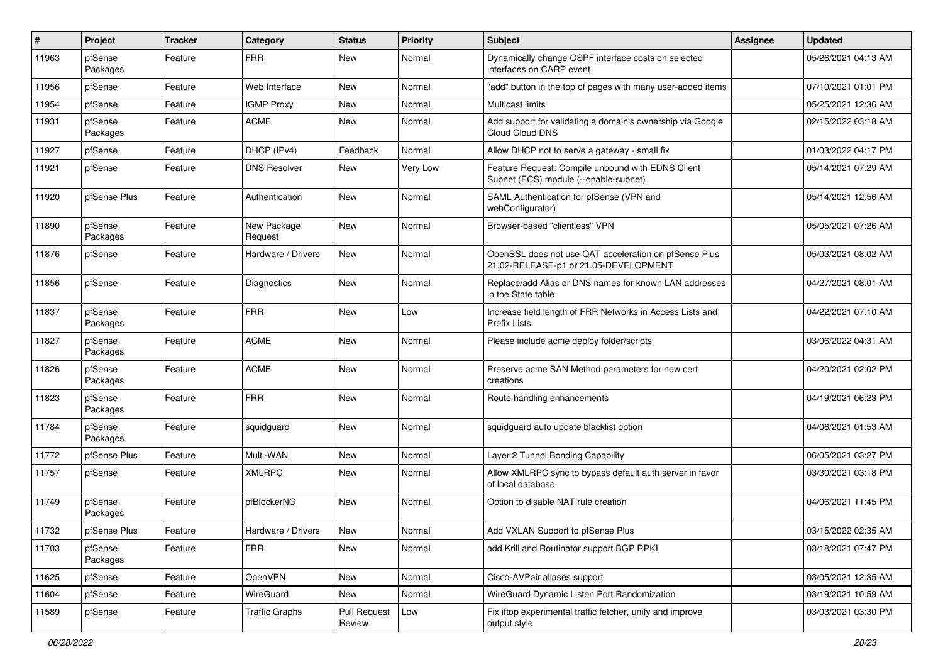| #     | Project             | <b>Tracker</b> | Category               | <b>Status</b>                 | <b>Priority</b> | <b>Subject</b>                                                                                 | <b>Assignee</b> | <b>Updated</b>      |
|-------|---------------------|----------------|------------------------|-------------------------------|-----------------|------------------------------------------------------------------------------------------------|-----------------|---------------------|
| 11963 | pfSense<br>Packages | Feature        | <b>FRR</b>             | New                           | Normal          | Dynamically change OSPF interface costs on selected<br>interfaces on CARP event                |                 | 05/26/2021 04:13 AM |
| 11956 | pfSense             | Feature        | Web Interface          | <b>New</b>                    | Normal          | "add" button in the top of pages with many user-added items                                    |                 | 07/10/2021 01:01 PM |
| 11954 | pfSense             | Feature        | <b>IGMP Proxy</b>      | <b>New</b>                    | Normal          | <b>Multicast limits</b>                                                                        |                 | 05/25/2021 12:36 AM |
| 11931 | pfSense<br>Packages | Feature        | <b>ACME</b>            | New                           | Normal          | Add support for validating a domain's ownership via Google<br>Cloud Cloud DNS                  |                 | 02/15/2022 03:18 AM |
| 11927 | pfSense             | Feature        | DHCP (IPv4)            | Feedback                      | Normal          | Allow DHCP not to serve a gateway - small fix                                                  |                 | 01/03/2022 04:17 PM |
| 11921 | pfSense             | Feature        | <b>DNS Resolver</b>    | New                           | Very Low        | Feature Request: Compile unbound with EDNS Client<br>Subnet (ECS) module (--enable-subnet)     |                 | 05/14/2021 07:29 AM |
| 11920 | pfSense Plus        | Feature        | Authentication         | <b>New</b>                    | Normal          | SAML Authentication for pfSense (VPN and<br>webConfigurator)                                   |                 | 05/14/2021 12:56 AM |
| 11890 | pfSense<br>Packages | Feature        | New Package<br>Request | <b>New</b>                    | Normal          | Browser-based "clientless" VPN                                                                 |                 | 05/05/2021 07:26 AM |
| 11876 | pfSense             | Feature        | Hardware / Drivers     | New                           | Normal          | OpenSSL does not use QAT acceleration on pfSense Plus<br>21.02-RELEASE-p1 or 21.05-DEVELOPMENT |                 | 05/03/2021 08:02 AM |
| 11856 | pfSense             | Feature        | Diagnostics            | <b>New</b>                    | Normal          | Replace/add Alias or DNS names for known LAN addresses<br>in the State table                   |                 | 04/27/2021 08:01 AM |
| 11837 | pfSense<br>Packages | Feature        | <b>FRR</b>             | New                           | Low             | Increase field length of FRR Networks in Access Lists and<br><b>Prefix Lists</b>               |                 | 04/22/2021 07:10 AM |
| 11827 | pfSense<br>Packages | Feature        | <b>ACME</b>            | New                           | Normal          | Please include acme deploy folder/scripts                                                      |                 | 03/06/2022 04:31 AM |
| 11826 | pfSense<br>Packages | Feature        | <b>ACME</b>            | New                           | Normal          | Preserve acme SAN Method parameters for new cert<br>creations                                  |                 | 04/20/2021 02:02 PM |
| 11823 | pfSense<br>Packages | Feature        | <b>FRR</b>             | <b>New</b>                    | Normal          | Route handling enhancements                                                                    |                 | 04/19/2021 06:23 PM |
| 11784 | pfSense<br>Packages | Feature        | squidguard             | <b>New</b>                    | Normal          | squidguard auto update blacklist option                                                        |                 | 04/06/2021 01:53 AM |
| 11772 | pfSense Plus        | Feature        | Multi-WAN              | <b>New</b>                    | Normal          | Layer 2 Tunnel Bonding Capability                                                              |                 | 06/05/2021 03:27 PM |
| 11757 | pfSense             | Feature        | <b>XMLRPC</b>          | New                           | Normal          | Allow XMLRPC sync to bypass default auth server in favor<br>of local database                  |                 | 03/30/2021 03:18 PM |
| 11749 | pfSense<br>Packages | Feature        | pfBlockerNG            | <b>New</b>                    | Normal          | Option to disable NAT rule creation                                                            |                 | 04/06/2021 11:45 PM |
| 11732 | pfSense Plus        | Feature        | Hardware / Drivers     | New                           | Normal          | Add VXLAN Support to pfSense Plus                                                              |                 | 03/15/2022 02:35 AM |
| 11703 | pfSense<br>Packages | Feature        | <b>FRR</b>             | New                           | Normal          | add Krill and Routinator support BGP RPKI                                                      |                 | 03/18/2021 07:47 PM |
| 11625 | pfSense             | Feature        | OpenVPN                | New                           | Normal          | Cisco-AVPair aliases support                                                                   |                 | 03/05/2021 12:35 AM |
| 11604 | pfSense             | Feature        | WireGuard              | New                           | Normal          | WireGuard Dynamic Listen Port Randomization                                                    |                 | 03/19/2021 10:59 AM |
| 11589 | pfSense             | Feature        | <b>Traffic Graphs</b>  | <b>Pull Request</b><br>Review | Low             | Fix iftop experimental traffic fetcher, unify and improve<br>output style                      |                 | 03/03/2021 03:30 PM |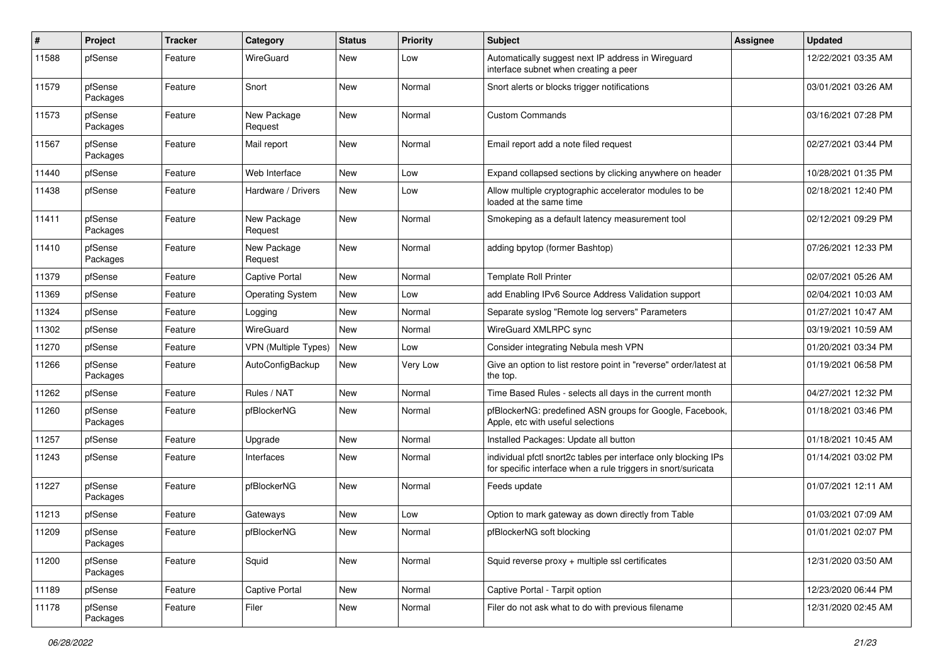| #     | Project             | <b>Tracker</b> | Category                | <b>Status</b> | <b>Priority</b> | <b>Subject</b>                                                                                                                   | <b>Assignee</b> | <b>Updated</b>      |
|-------|---------------------|----------------|-------------------------|---------------|-----------------|----------------------------------------------------------------------------------------------------------------------------------|-----------------|---------------------|
| 11588 | pfSense             | Feature        | WireGuard               | New           | Low             | Automatically suggest next IP address in Wireguard<br>interface subnet when creating a peer                                      |                 | 12/22/2021 03:35 AM |
| 11579 | pfSense<br>Packages | Feature        | Snort                   | New           | Normal          | Snort alerts or blocks trigger notifications                                                                                     |                 | 03/01/2021 03:26 AM |
| 11573 | pfSense<br>Packages | Feature        | New Package<br>Request  | <b>New</b>    | Normal          | <b>Custom Commands</b>                                                                                                           |                 | 03/16/2021 07:28 PM |
| 11567 | pfSense<br>Packages | Feature        | Mail report             | New           | Normal          | Email report add a note filed request                                                                                            |                 | 02/27/2021 03:44 PM |
| 11440 | pfSense             | Feature        | Web Interface           | <b>New</b>    | Low             | Expand collapsed sections by clicking anywhere on header                                                                         |                 | 10/28/2021 01:35 PM |
| 11438 | pfSense             | Feature        | Hardware / Drivers      | New           | Low             | Allow multiple cryptographic accelerator modules to be<br>loaded at the same time                                                |                 | 02/18/2021 12:40 PM |
| 11411 | pfSense<br>Packages | Feature        | New Package<br>Request  | New           | Normal          | Smokeping as a default latency measurement tool                                                                                  |                 | 02/12/2021 09:29 PM |
| 11410 | pfSense<br>Packages | Feature        | New Package<br>Request  | New           | Normal          | adding bpytop (former Bashtop)                                                                                                   |                 | 07/26/2021 12:33 PM |
| 11379 | pfSense             | Feature        | <b>Captive Portal</b>   | <b>New</b>    | Normal          | <b>Template Roll Printer</b>                                                                                                     |                 | 02/07/2021 05:26 AM |
| 11369 | pfSense             | Feature        | <b>Operating System</b> | New           | Low             | add Enabling IPv6 Source Address Validation support                                                                              |                 | 02/04/2021 10:03 AM |
| 11324 | pfSense             | Feature        | Logging                 | <b>New</b>    | Normal          | Separate syslog "Remote log servers" Parameters                                                                                  |                 | 01/27/2021 10:47 AM |
| 11302 | pfSense             | Feature        | WireGuard               | <b>New</b>    | Normal          | WireGuard XMLRPC sync                                                                                                            |                 | 03/19/2021 10:59 AM |
| 11270 | pfSense             | Feature        | VPN (Multiple Types)    | <b>New</b>    | Low             | Consider integrating Nebula mesh VPN                                                                                             |                 | 01/20/2021 03:34 PM |
| 11266 | pfSense<br>Packages | Feature        | AutoConfigBackup        | New           | Very Low        | Give an option to list restore point in "reverse" order/latest at<br>the top.                                                    |                 | 01/19/2021 06:58 PM |
| 11262 | pfSense             | Feature        | Rules / NAT             | <b>New</b>    | Normal          | Time Based Rules - selects all days in the current month                                                                         |                 | 04/27/2021 12:32 PM |
| 11260 | pfSense<br>Packages | Feature        | pfBlockerNG             | New           | Normal          | pfBlockerNG: predefined ASN groups for Google, Facebook,<br>Apple, etc with useful selections                                    |                 | 01/18/2021 03:46 PM |
| 11257 | pfSense             | Feature        | Upgrade                 | <b>New</b>    | Normal          | Installed Packages: Update all button                                                                                            |                 | 01/18/2021 10:45 AM |
| 11243 | pfSense             | Feature        | Interfaces              | New           | Normal          | individual pfctl snort2c tables per interface only blocking IPs<br>for specific interface when a rule triggers in snort/suricata |                 | 01/14/2021 03:02 PM |
| 11227 | pfSense<br>Packages | Feature        | pfBlockerNG             | New           | Normal          | Feeds update                                                                                                                     |                 | 01/07/2021 12:11 AM |
| 11213 | pfSense             | Feature        | Gateways                | New           | Low             | Option to mark gateway as down directly from Table                                                                               |                 | 01/03/2021 07:09 AM |
| 11209 | pfSense<br>Packages | Feature        | pfBlockerNG             | New           | Normal          | pfBlockerNG soft blocking                                                                                                        |                 | 01/01/2021 02:07 PM |
| 11200 | pfSense<br>Packages | Feature        | Squid                   | New           | Normal          | Squid reverse proxy + multiple ssl certificates                                                                                  |                 | 12/31/2020 03:50 AM |
| 11189 | pfSense             | Feature        | Captive Portal          | New           | Normal          | Captive Portal - Tarpit option                                                                                                   |                 | 12/23/2020 06:44 PM |
| 11178 | pfSense<br>Packages | Feature        | Filer                   | New           | Normal          | Filer do not ask what to do with previous filename                                                                               |                 | 12/31/2020 02:45 AM |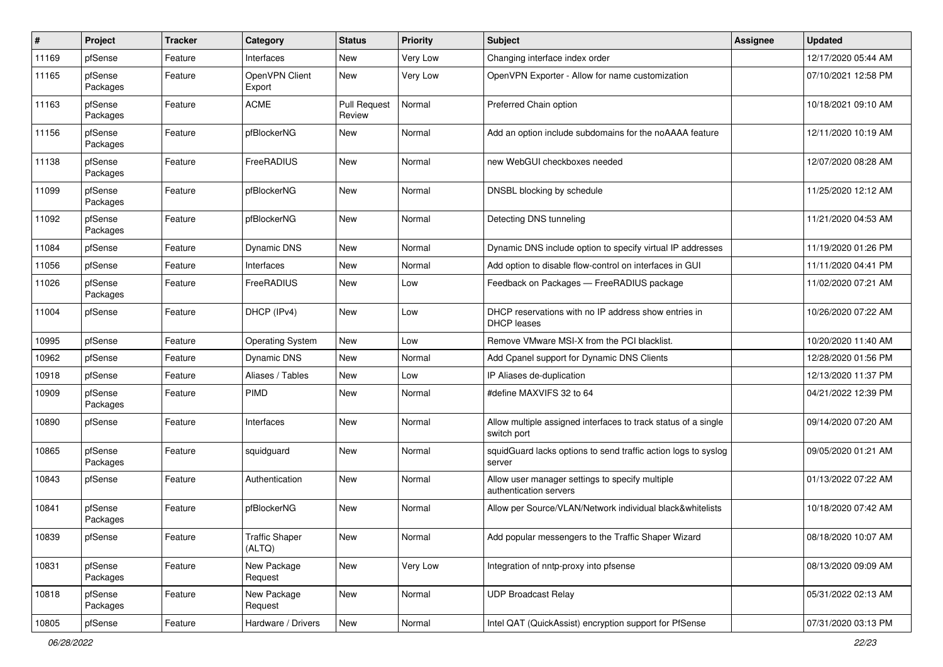| $\vert$ # | Project             | <b>Tracker</b> | Category                        | <b>Status</b>                 | <b>Priority</b> | <b>Subject</b>                                                                | <b>Assignee</b> | <b>Updated</b>      |
|-----------|---------------------|----------------|---------------------------------|-------------------------------|-----------------|-------------------------------------------------------------------------------|-----------------|---------------------|
| 11169     | pfSense             | Feature        | Interfaces                      | New                           | Very Low        | Changing interface index order                                                |                 | 12/17/2020 05:44 AM |
| 11165     | pfSense<br>Packages | Feature        | OpenVPN Client<br>Export        | <b>New</b>                    | Very Low        | OpenVPN Exporter - Allow for name customization                               |                 | 07/10/2021 12:58 PM |
| 11163     | pfSense<br>Packages | Feature        | <b>ACME</b>                     | <b>Pull Request</b><br>Review | Normal          | Preferred Chain option                                                        |                 | 10/18/2021 09:10 AM |
| 11156     | pfSense<br>Packages | Feature        | pfBlockerNG                     | New                           | Normal          | Add an option include subdomains for the noAAAA feature                       |                 | 12/11/2020 10:19 AM |
| 11138     | pfSense<br>Packages | Feature        | FreeRADIUS                      | New                           | Normal          | new WebGUI checkboxes needed                                                  |                 | 12/07/2020 08:28 AM |
| 11099     | pfSense<br>Packages | Feature        | pfBlockerNG                     | New                           | Normal          | DNSBL blocking by schedule                                                    |                 | 11/25/2020 12:12 AM |
| 11092     | pfSense<br>Packages | Feature        | pfBlockerNG                     | New                           | Normal          | Detecting DNS tunneling                                                       |                 | 11/21/2020 04:53 AM |
| 11084     | pfSense             | Feature        | Dynamic DNS                     | <b>New</b>                    | Normal          | Dynamic DNS include option to specify virtual IP addresses                    |                 | 11/19/2020 01:26 PM |
| 11056     | pfSense             | Feature        | Interfaces                      | New                           | Normal          | Add option to disable flow-control on interfaces in GUI                       |                 | 11/11/2020 04:41 PM |
| 11026     | pfSense<br>Packages | Feature        | FreeRADIUS                      | New                           | Low             | Feedback on Packages - FreeRADIUS package                                     |                 | 11/02/2020 07:21 AM |
| 11004     | pfSense             | Feature        | DHCP (IPv4)                     | New                           | Low             | DHCP reservations with no IP address show entries in<br><b>DHCP</b> leases    |                 | 10/26/2020 07:22 AM |
| 10995     | pfSense             | Feature        | <b>Operating System</b>         | New                           | Low             | Remove VMware MSI-X from the PCI blacklist.                                   |                 | 10/20/2020 11:40 AM |
| 10962     | pfSense             | Feature        | Dynamic DNS                     | <b>New</b>                    | Normal          | Add Cpanel support for Dynamic DNS Clients                                    |                 | 12/28/2020 01:56 PM |
| 10918     | pfSense             | Feature        | Aliases / Tables                | New                           | Low             | IP Aliases de-duplication                                                     |                 | 12/13/2020 11:37 PM |
| 10909     | pfSense<br>Packages | Feature        | <b>PIMD</b>                     | New                           | Normal          | #define MAXVIFS 32 to 64                                                      |                 | 04/21/2022 12:39 PM |
| 10890     | pfSense             | Feature        | Interfaces                      | New                           | Normal          | Allow multiple assigned interfaces to track status of a single<br>switch port |                 | 09/14/2020 07:20 AM |
| 10865     | pfSense<br>Packages | Feature        | squidguard                      | New                           | Normal          | squidGuard lacks options to send traffic action logs to syslog<br>server      |                 | 09/05/2020 01:21 AM |
| 10843     | pfSense             | Feature        | Authentication                  | New                           | Normal          | Allow user manager settings to specify multiple<br>authentication servers     |                 | 01/13/2022 07:22 AM |
| 10841     | pfSense<br>Packages | Feature        | pfBlockerNG                     | New                           | Normal          | Allow per Source/VLAN/Network individual black&whitelists                     |                 | 10/18/2020 07:42 AM |
| 10839     | pfSense             | Feature        | <b>Traffic Shaper</b><br>(ALTQ) | New                           | Normal          | Add popular messengers to the Traffic Shaper Wizard                           |                 | 08/18/2020 10:07 AM |
| 10831     | pfSense<br>Packages | Feature        | New Package<br>Request          | New                           | Very Low        | Integration of nntp-proxy into pfsense                                        |                 | 08/13/2020 09:09 AM |
| 10818     | pfSense<br>Packages | Feature        | New Package<br>Request          | New                           | Normal          | <b>UDP Broadcast Relay</b>                                                    |                 | 05/31/2022 02:13 AM |
| 10805     | pfSense             | Feature        | Hardware / Drivers              | New                           | Normal          | Intel QAT (QuickAssist) encryption support for PfSense                        |                 | 07/31/2020 03:13 PM |